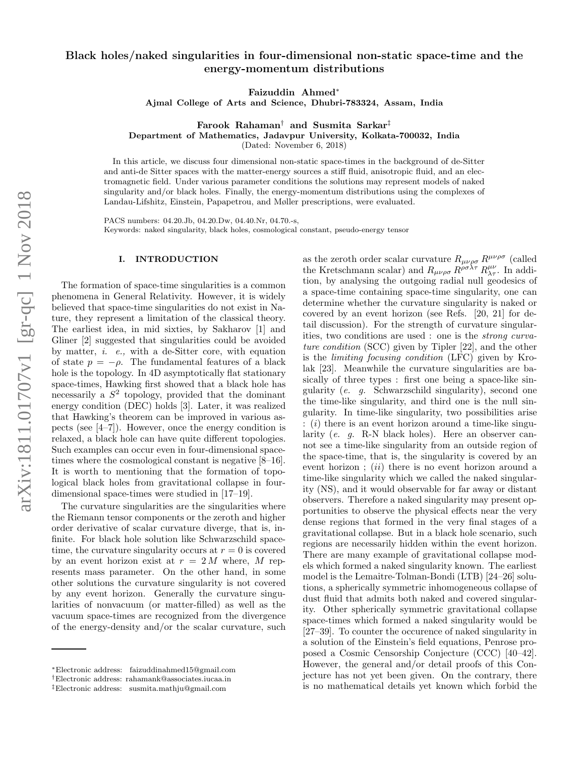# Black holes/naked singularities in four-dimensional non-static space-time and the energy-momentum distributions

Faizuddin Ahmed ∗

Ajmal College of Arts and Science, Dhubri-783324, Assam, India

 $\rm{Farcok\;Rahaman^{\dagger}}$  and  $\rm{Susmita\;Sarkar^{\ddagger}}$ 

Department of Mathematics, Jadavpur University, Kolkata-700032, India

(Dated: November 6, 2018)

In this article, we discuss four dimensional non-static space-times in the background of de-Sitter and anti-de Sitter spaces with the matter-energy sources a stiff fluid, anisotropic fluid, and an electromagnetic field. Under various parameter conditions the solutions may represent models of naked singularity and/or black holes. Finally, the energy-momentum distributions using the complexes of Landau-Lifshitz, Einstein, Papapetrou, and Møller prescriptions, were evaluated.

PACS numbers: 04.20.Jb, 04.20.Dw, 04.40.Nr, 04.70.-s, Keywords: naked singularity, black holes, cosmological constant, pseudo-energy tensor

### I. INTRODUCTION

The formation of space-time singularities is a common phenomena in General Relativity. However, it is widely believed that space-time singularities do not exist in Nature, they represent a limitation of the classical theory. The earliest idea, in mid sixties, by Sakharov [1] and Gliner [2] suggested that singularities could be avoided by matter, i. e., with a de-Sitter core, with equation of state  $p = -\rho$ . The fundamental features of a black hole is the topology. In 4D asymptotically flat stationary space-times, Hawking first showed that a black hole has necessarily a S 2 topology, provided that the dominant energy condition (DEC) holds [3]. Later, it was realized that Hawking's theorem can be improved in various aspects (see [4–7]). However, once the energy condition is relaxed, a black hole can have quite different topologies. Such examples can occur even in four-dimensional spacetimes where the cosmological constant is negative [8–16]. It is worth to mentioning that the formation of topological black holes from gravitational collapse in fourdimensional space-times were studied in [17–19].

The curvature singularities are the singularities where the Riemann tensor components or the zeroth and higher order derivative of scalar curvature diverge, that is, infinite. For black hole solution like Schwarzschild spacetime, the curvature singularity occurs at  $r = 0$  is covered by an event horizon exist at  $r = 2M$  where, M represents mass parameter. On the other hand, in some other solutions the curvature singularity is not covered by any event horizon. Generally the curvature singularities of nonvacuum (or matter-filled) as well as the vacuum space-times are recognized from the divergence of the energy-density and/or the scalar curvature, such

as the zeroth order scalar curvature  $R_{\mu\nu\rho\sigma} R^{\mu\nu\rho\sigma}$  (called the Kretschmann scalar) and  $R_{\mu\nu\rho\sigma}R^{\rho\sigma\lambda\tau}R^{\mu\nu}_{\lambda\tau}$ . In addition, by analysing the outgoing radial null geodesics of a space-time containing space-time singularity, one can determine whether the curvature singularity is naked or covered by an event horizon (see Refs. [20, 21] for detail discussion). For the strength of curvature singularities, two conditions are used : one is the strong curvature condition (SCC) given by Tipler [22], and the other is the limiting focusing condition (LFC) given by Krolak [23]. Meanwhile the curvature singularities are basically of three types : first one being a space-like singularity (e. g. Schwarzschild singularity), second one the time-like singularity, and third one is the null singularity. In time-like singularity, two possibilities arise : ( i) there is an event horizon around a time-like singularity (e. g. R-N black holes). Here an observer cannot see a time-like singularity from an outside region of the space-time, that is, the singularity is covered by an event horizon ; (ii) there is no event horizon around a time-like singularity which we called the naked singularity (NS), and it would observable for far away or distant observers. Therefore a naked singularity may present opportunities to observe the physical effects near the very dense regions that formed in the very final stages of a gravitational collapse. But in a black hole scenario, such regions are necessarily hidden within the event horizon. There are many example of gravitational collapse models which formed a naked singularity known. The earliest model is the Lemaitre-Tolman-Bondi (LTB) [24–26] solutions, a spherically symmetric inhomogeneous collapse of dust fluid that admits both naked and covered singularity. Other spherically symmetric gravitational collapse space-times which formed a naked singularity would be [27–39]. To counter the occurence of naked singularity in a solution of the Einstein's field equations, Penrose proposed a Cosmic Censorship Conjecture (CCC) [40–42]. However, the general and/or detail proofs of this Conjecture has not yet been given. On the contrary, there is no mathematical details yet known which forbid the

<sup>∗</sup>Electronic address: faizuddinahmed15@gmail.com

<sup>†</sup>Electronic address: rahamank@associates.iucaa.in

<sup>‡</sup>Electronic address: susmita.mathju@gmail.com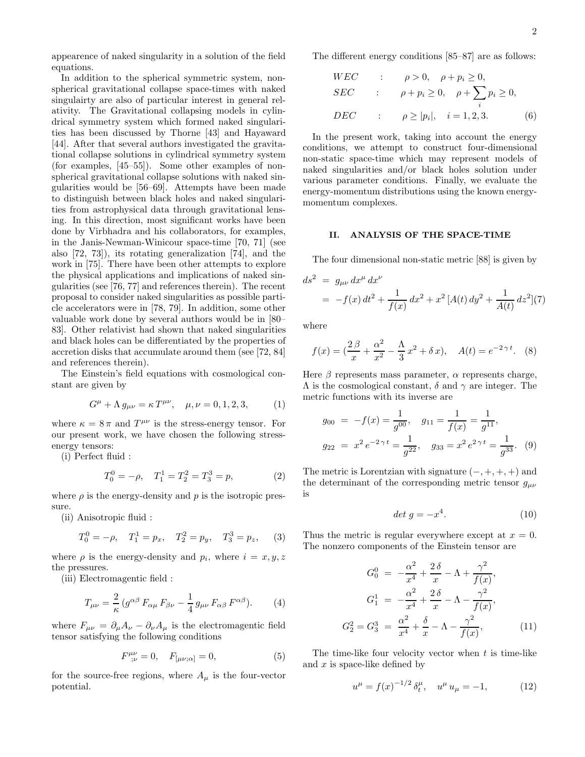appearence of naked singularity in a solution of the field equations.

In addition to the spherical symmetric system, nonspherical gravitational collapse space-times with naked singulairty are also of particular interest in general relativity. The Gravitational collapsing models in cylindrical symmetry system which formed naked singularities has been discussed by Thorne [43] and Hayaward [44]. After that several authors investigated the gravitational collapse solutions in cylindrical symmetry system (for examples, [45–55]). Some other examples of nonspherical gravitational collapse solutions with naked singularities would be [56–69]. Attempts have been made to distinguish between black holes and naked singularities from astrophysical data through gravitational lensing. In this direction, most significant works have been done by Virbhadra and his collaborators, for examples, in the Janis-Newman-Winicour space-time [70, 71] (see also [72, 73]), its rotating generalization [74], and the work in [75]. There have been other attempts to explore the physical applications and implications of naked singularities (see [76, 77] and references therein). The recent proposal to consider naked singularities as possible particle accelerators were in [78, 79]. In addition, some other valuable work done by several authors would be in [80– 83]. Other relativist had shown that naked singularities and black holes can be differentiated by the properties of accretion disks that accumulate around them (see [72, 84] and references therein).

The Einstein's field equations with cosmological constant are given by

$$
G^{\mu} + \Lambda g_{\mu\nu} = \kappa T^{\mu\nu}, \quad \mu, \nu = 0, 1, 2, 3, \tag{1}
$$

where  $\kappa = 8 \pi$  and  $T^{\mu\nu}$  is the stress-energy tensor. For our present work, we have chosen the following stressenergy tensors:

(i) Perfect fluid :

$$
T_0^0 = -\rho, \quad T_1^1 = T_2^2 = T_3^3 = p,\tag{2}
$$

where  $\rho$  is the energy-density and p is the isotropic pressure.

(ii) Anisotropic fluid :

$$
T_0^0 = -\rho
$$
,  $T_1^1 = p_x$ ,  $T_2^2 = p_y$ ,  $T_3^3 = p_z$ , (3)

where  $\rho$  is the energy-density and  $p_i$ , where  $i = x, y, z$ the pressures.

(iii) Electromagentic field :

$$
T_{\mu\nu} = \frac{2}{\kappa} \left( g^{\alpha\beta} F_{\alpha\mu} F_{\beta\nu} - \frac{1}{4} g_{\mu\nu} F_{\alpha\beta} F^{\alpha\beta} \right). \tag{4}
$$

where  $F_{\mu\nu} = \partial_{\mu}A_{\nu} - \partial_{\nu}A_{\mu}$  is the electromagentic field tensor satisfying the following conditions

$$
F^{\mu\nu}_{;\nu} = 0, \quad F_{[\mu\nu;\alpha]} = 0,\tag{5}
$$

for the source-free regions, where  $A_\mu$  is the four-vector potential.

The different energy conditions [85–87] are as follows:

$$
WEC \t\t ; \t\rho > 0, \t\rho + p_i \ge 0,
$$
  
\n
$$
SEC \t\t ; \t\rho + p_i \ge 0, \t\rho + \sum_i p_i \ge 0,
$$
  
\n
$$
DEC \t\t ; \t\rho \ge |p_i|, \t i = 1, 2, 3.
$$
 (6)

In the present work, taking into account the energy conditions, we attempt to construct four-dimensional non-static space-time which may represent models of naked singularities and/or black holes solution under various parameter conditions. Finally, we evaluate the energy-momentum distributions using the known energymomentum complexes.

### II. ANALYSIS OF THE SPACE-TIME

The four dimensional non-static metric [88] is given by

$$
ds^{2} = g_{\mu\nu} dx^{\mu} dx^{\nu}
$$
  
=  $-f(x) dt^{2} + \frac{1}{f(x)} dx^{2} + x^{2} [A(t) dy^{2} + \frac{1}{A(t)} dz^{2}] (7)$ 

where

$$
f(x) = \left(\frac{2\beta}{x} + \frac{\alpha^2}{x^2} - \frac{\Lambda}{3}x^2 + \delta x\right), \quad A(t) = e^{-2\gamma t}.
$$
 (8)

Here  $\beta$  represents mass parameter,  $\alpha$  represents charge,  $Λ$  is the cosmological constant,  $δ$  and  $γ$  are integer. The metric functions with its inverse are

$$
g_{00} = -f(x) = \frac{1}{g^{00}}, \quad g_{11} = \frac{1}{f(x)} = \frac{1}{g^{11}},
$$
  

$$
g_{22} = x^2 e^{-2\gamma t} = \frac{1}{g^{22}}, \quad g_{33} = x^2 e^{2\gamma t} = \frac{1}{g^{33}}.
$$
 (9)

The metric is Lorentzian with signature  $(-, +, +, +)$  and the determinant of the corresponding metric tensor  $g_{\mu\nu}$ is

$$
det\ g = -x^4. \tag{10}
$$

Thus the metric is regular everywhere except at  $x = 0$ . The nonzero components of the Einstein tensor are

$$
G_0^0 = -\frac{\alpha^2}{x^4} + \frac{2\delta}{x} - \Lambda + \frac{\gamma^2}{f(x)},
$$
  
\n
$$
G_1^1 = -\frac{\alpha^2}{x^4} + \frac{2\delta}{x} - \Lambda - \frac{\gamma^2}{f(x)},
$$
  
\n
$$
G_2^2 = G_3^3 = \frac{\alpha^2}{x^4} + \frac{\delta}{x} - \Lambda - \frac{\gamma^2}{f(x)},
$$
\n(11)

The time-like four velocity vector when  $t$  is time-like and  $x$  is space-like defined by

$$
u^{\mu} = f(x)^{-1/2} \delta_t^{\mu}, \quad u^{\mu} u_{\mu} = -1, \tag{12}
$$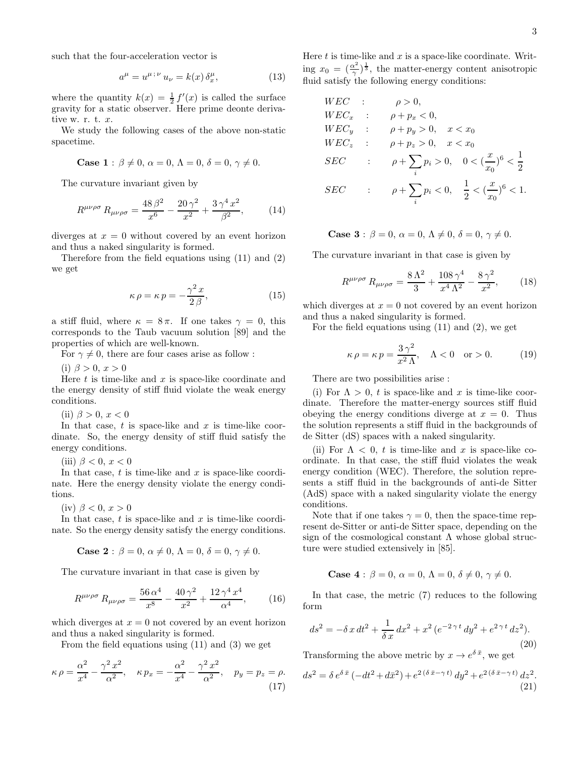such that the four-acceleration vector is

$$
a^{\mu} = u^{\mu \, ; \, \nu} \, u_{\nu} = k(x) \, \delta_x^{\mu}, \tag{13}
$$

where the quantity  $k(x) = \frac{1}{2} f'(x)$  is called the surface gravity for a static observer. Here prime deonte derivative w. r. t. x.

We study the following cases of the above non-static spacetime.

Case 1: 
$$
\beta \neq 0
$$
,  $\alpha = 0$ ,  $\Lambda = 0$ ,  $\delta = 0$ ,  $\gamma \neq 0$ .

The curvature invariant given by

$$
R^{\mu\nu\rho\sigma} R_{\mu\nu\rho\sigma} = \frac{48 \,\beta^2}{x^6} - \frac{20 \,\gamma^2}{x^2} + \frac{3 \,\gamma^4 \, x^2}{\beta^2},\tag{14}
$$

diverges at  $x = 0$  without covered by an event horizon and thus a naked singularity is formed.

Therefore from the field equations using (11) and (2) we get

$$
\kappa \rho = \kappa p = -\frac{\gamma^2 x}{2 \beta},\tag{15}
$$

a stiff fluid, where  $\kappa = 8 \pi$ . If one takes  $\gamma = 0$ , this corresponds to the Taub vacuum solution [89] and the properties of which are well-known.

For  $\gamma \neq 0$ , there are four cases arise as follow :

(i)  $\beta > 0, x > 0$ 

Here  $t$  is time-like and  $x$  is space-like coordinate and the energy density of stiff fluid violate the weak energy conditions.

(ii)  $\beta > 0, x < 0$ 

In that case,  $t$  is space-like and  $x$  is time-like coordinate. So, the energy density of stiff fluid satisfy the energy conditions.

(iii)  $\beta < 0$ ,  $x < 0$ 

In that case,  $t$  is time-like and  $x$  is space-like coordinate. Here the energy density violate the energy conditions.

(iv)  $\beta < 0, x > 0$ 

In that case,  $t$  is space-like and  $x$  is time-like coordinate. So the energy density satisfy the energy conditions.

Case 2 : 
$$
\beta = 0
$$
,  $\alpha \neq 0$ ,  $\Lambda = 0$ ,  $\delta = 0$ ,  $\gamma \neq 0$ .

The curvature invariant in that case is given by

$$
R^{\mu\nu\rho\sigma} R_{\mu\nu\rho\sigma} = \frac{56 \alpha^4}{x^8} - \frac{40 \gamma^2}{x^2} + \frac{12 \gamma^4 x^4}{\alpha^4},\qquad(16)
$$

which diverges at  $x = 0$  not covered by an event horizon and thus a naked singularity is formed.

From the field equations using (11) and (3) we get

$$
\kappa \rho = \frac{\alpha^2}{x^4} - \frac{\gamma^2 x^2}{\alpha^2}, \quad \kappa p_x = -\frac{\alpha^2}{x^4} - \frac{\gamma^2 x^2}{\alpha^2}, \quad p_y = p_z = \rho.
$$
\n(17)

Here  $t$  is time-like and  $x$  is a space-like coordinate. Writing  $x_0 = \left(\frac{\alpha^2}{\gamma}\right)$  $(\frac{x^2}{\gamma})^{\frac{1}{3}}$ , the matter-energy content anisotropic fluid satisfy the following energy conditions:

$$
WEC \t\t ; \t\rho > 0,
$$
  
\n
$$
WEC_x \t\t ; \t\rho + p_x < 0,
$$
  
\n
$$
WEC_y \t\t ; \t\rho + p_y > 0, \t x < x_0
$$
  
\n
$$
WEC_z \t\t ; \t\rho + p_z > 0, \t x < x_0
$$
  
\n
$$
SEC \t\t ; \t\rho + \sum_i p_i > 0, \t 0 < (\frac{x}{x_0})^6 < \frac{1}{2}
$$
  
\n
$$
SEC \t\t ; \t\rho + \sum_i p_i < 0, \t \frac{1}{2} < (\frac{x}{x_0})^6 < 1.
$$

Case 3: 
$$
\beta = 0
$$
,  $\alpha = 0$ ,  $\Lambda \neq 0$ ,  $\delta = 0$ ,  $\gamma \neq 0$ .

The curvature invariant in that case is given by

$$
R^{\mu\nu\rho\sigma} R_{\mu\nu\rho\sigma} = \frac{8\Lambda^2}{3} + \frac{108\gamma^4}{x^4\Lambda^2} - \frac{8\gamma^2}{x^2},\qquad(18)
$$

which diverges at  $x = 0$  not covered by an event horizon and thus a naked singularity is formed.

For the field equations using (11) and (2), we get

$$
\kappa \rho = \kappa p = \frac{3\gamma^2}{x^2 \Lambda}, \quad \Lambda < 0 \quad \text{or} > 0. \tag{19}
$$

There are two possibilities arise :

(i) For  $\Lambda > 0$ , t is space-like and x is time-like coordinate. Therefore the matter-energy sources stiff fluid obeying the energy conditions diverge at  $x = 0$ . Thus the solution represents a stiff fluid in the backgrounds of de Sitter (dS) spaces with a naked singularity.

(ii) For  $\Lambda < 0$ , t is time-like and x is space-like coordinate. In that case, the stiff fluid violates the weak energy condition (WEC). Therefore, the solution represents a stiff fluid in the backgrounds of anti-de Sitter (AdS) space with a naked singularity violate the energy conditions.

Note that if one takes  $\gamma = 0$ , then the space-time represent de-Sitter or anti-de Sitter space, depending on the sign of the cosmological constant  $\Lambda$  whose global structure were studied extensively in [85].

Case 4: 
$$
\beta = 0
$$
,  $\alpha = 0$ ,  $\Lambda = 0$ ,  $\delta \neq 0$ ,  $\gamma \neq 0$ .

In that case, the metric (7) reduces to the following form

$$
ds^{2} = -\delta x dt^{2} + \frac{1}{\delta x} dx^{2} + x^{2} (e^{-2\gamma t} dy^{2} + e^{2\gamma t} dz^{2}).
$$
\n(20)

Transforming the above metric by  $x \to e^{\delta \bar{x}}$ , we get

$$
ds^{2} = \delta e^{\delta \bar{x}} \left( -dt^{2} + d\bar{x}^{2} \right) + e^{2(\delta \bar{x} - \gamma t)} dy^{2} + e^{2(\delta \bar{x} - \gamma t)} dz^{2}.
$$
\n(21)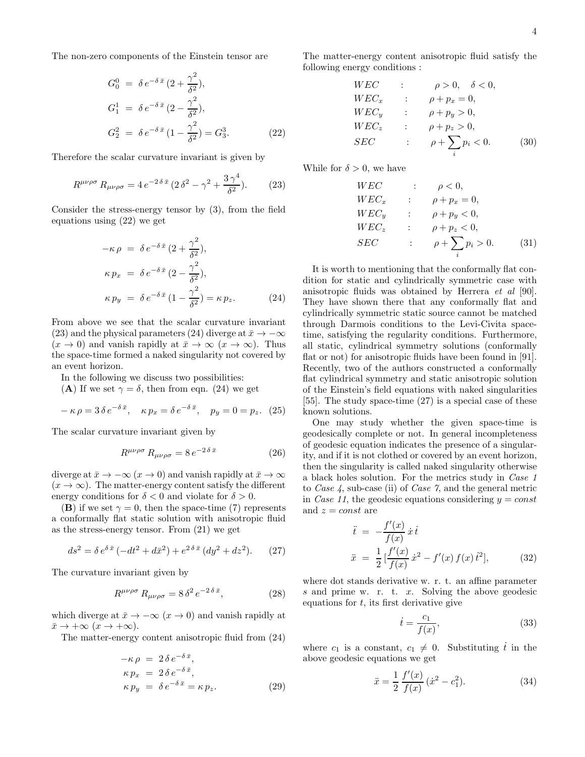The non-zero components of the Einstein tensor are

$$
G_0^0 = \delta e^{-\delta \bar{x}} (2 + \frac{\gamma^2}{\delta^2}),
$$
  
\n
$$
G_1^1 = \delta e^{-\delta \bar{x}} (2 - \frac{\gamma^2}{\delta^2}),
$$
  
\n
$$
G_2^2 = \delta e^{-\delta \bar{x}} (1 - \frac{\gamma^2}{\delta^2}) = G_3^3.
$$
\n(22)

Therefore the scalar curvature invariant is given by

$$
R^{\mu\nu\rho\sigma} R_{\mu\nu\rho\sigma} = 4 e^{-2\delta \bar{x}} \left( 2 \delta^2 - \gamma^2 + \frac{3 \gamma^4}{\delta^2} \right). \tag{23}
$$

Consider the stress-energy tensor by (3), from the field equations using (22) we get

$$
-\kappa \rho = \delta e^{-\delta \bar{x}} (2 + \frac{\gamma^2}{\delta^2}),
$$
  
\n
$$
\kappa p_x = \delta e^{-\delta \bar{x}} (2 - \frac{\gamma^2}{\delta^2}),
$$
  
\n
$$
\kappa p_y = \delta e^{-\delta \bar{x}} (1 - \frac{\gamma^2}{\delta^2}) = \kappa p_z.
$$
 (24)

From above we see that the scalar curvature invariant (23) and the physical parameters (24) diverge at  $\bar{x} \to -\infty$  $(x \to 0)$  and vanish rapidly at  $\bar{x} \to \infty$   $(x \to \infty)$ . Thus the space-time formed a naked singularity not covered by an event horizon.

In the following we discuss two possibilities:

(A) If we set  $\gamma = \delta$ , then from eqn. (24) we get

$$
-\kappa \rho = 3\,\delta\,e^{-\delta\,\bar{x}}, \quad \kappa\,p_x = \delta\,e^{-\delta\,\bar{x}}, \quad p_y = 0 = p_z. \tag{25}
$$

The scalar curvature invariant given by

$$
R^{\mu\nu\rho\sigma} R_{\mu\nu\rho\sigma} = 8 e^{-2\delta \bar{x}} \tag{26}
$$

diverge at  $\bar{x} \to -\infty$   $(x \to 0)$  and vanish rapidly at  $\bar{x} \to \infty$  $(x \to \infty)$ . The matter-energy content satisfy the different energy conditions for  $\delta < 0$  and violate for  $\delta > 0$ .

(B) if we set  $\gamma = 0$ , then the space-time (7) represents a conformally flat static solution with anisotropic fluid as the stress-energy tensor. From (21) we get

$$
ds^{2} = \delta e^{\delta \bar{x}} \left( -dt^{2} + d\bar{x}^{2} \right) + e^{2\delta \bar{x}} \left( dy^{2} + dz^{2} \right). \tag{27}
$$

The curvature invariant given by

$$
R^{\mu\nu\rho\sigma} R_{\mu\nu\rho\sigma} = 8 \delta^2 e^{-2 \delta \bar{x}}, \qquad (28)
$$

which diverge at  $\bar{x} \to -\infty$  ( $x \to 0$ ) and vanish rapidly at  $\bar{x} \to +\infty \ (x \to +\infty).$ 

The matter-energy content anisotropic fluid from (24)

$$
-\kappa \rho = 2 \delta e^{-\delta \bar{x}},
$$
  
\n
$$
\kappa p_x = 2 \delta e^{-\delta \bar{x}},
$$
  
\n
$$
\kappa p_y = \delta e^{-\delta \bar{x}} = \kappa p_z.
$$
\n(29)

The matter-energy content anisotropic fluid satisfy the following energy conditions :

$$
WEC \t\t ; \t\rho > 0, \t \delta < 0,
$$
  
\n
$$
WEC_x \t\t ; \t\rho + p_x = 0,
$$
  
\n
$$
WEC_y \t\t ; \t\rho + p_y > 0,
$$
  
\n
$$
WEC_z \t\t ; \t\rho + p_z > 0,
$$
  
\n
$$
SEC \t\t ; \t\rho + \sum_i p_i < 0.
$$
\n(30)

While for  $\delta > 0$ , we have

$$
WECx : \rho < 0,
$$
  
\n
$$
WECx : \rho + px = 0,
$$
  
\n
$$
WECy : \rho + py < 0,
$$
  
\n
$$
WECz : \rho + pz < 0,
$$
  
\n
$$
SEC: \rho + \sum_{i} pi > 0.
$$
 (31)

It is worth to mentioning that the conformally flat condition for static and cylindrically symmetric case with anisotropic fluids was obtained by Herrera et al [90]. They have shown there that any conformally flat and cylindrically symmetric static source cannot be matched through Darmois conditions to the Levi-Civita spacetime, satisfying the regularity conditions. Furthermore, all static, cylindrical symmetry solutions (conformally flat or not) for anisotropic fluids have been found in [91]. Recently, two of the authors constructed a conformally flat cylindrical symmetry and static anisotropic solution of the Einstein's field equations with naked singularities [55]. The study space-time (27) is a special case of these known solutions.

One may study whether the given space-time is geodesically complete or not. In general incompleteness of geodesic equation indicates the presence of a singularity, and if it is not clothed or covered by an event horizon, then the singularity is called naked singularity otherwise a black holes solution. For the metrics study in Case 1 to Case 4, sub-case (ii) of Case 7, and the general metric in Case 11, the geodesic equations considering  $y = const$ and  $z = const$  are

$$
\ddot{t} = -\frac{f'(x)}{f(x)} \dot{x} \dot{t}
$$
\n
$$
\ddot{x} = \frac{1}{2} \left[ \frac{f'(x)}{f(x)} \dot{x}^2 - f'(x) f(x) \dot{t}^2 \right],
$$
\n(32)

where dot stands derivative w. r. t. an affine parameter s and prime w. r. t. x. Solving the above geodesic equations for  $t$ , its first derivative give

$$
\dot{t} = \frac{c_1}{f(x)},\tag{33}
$$

where  $c_1$  is a constant,  $c_1 \neq 0$ . Substituting  $t$  in the above geodesic equations we get

$$
\ddot{x} = \frac{1}{2} \frac{f'(x)}{f(x)} (\dot{x}^2 - c_1^2).
$$
 (34)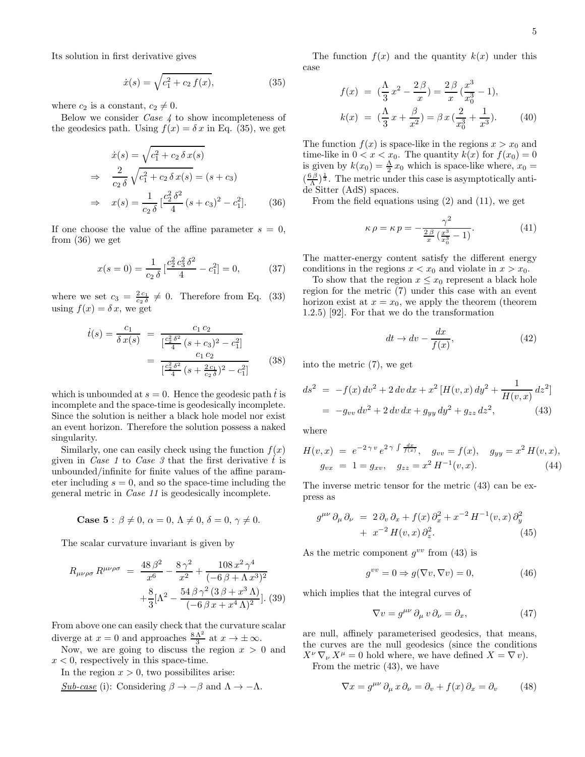Its solution in first derivative gives

$$
\dot{x}(s) = \sqrt{c_1^2 + c_2 f(x)},\tag{35}
$$

where  $c_2$  is a constant,  $c_2 \neq 0$ .

Below we consider Case 4 to show incompleteness of the geodesics path. Using  $f(x) = \delta x$  in Eq. (35), we get

$$
\dot{x}(s) = \sqrt{c_1^2 + c_2 \delta x(s)}
$$
\n
$$
\Rightarrow \frac{2}{c_2 \delta} \sqrt{c_1^2 + c_2 \delta x(s)} = (s + c_3)
$$
\n
$$
\Rightarrow x(s) = \frac{1}{c_2 \delta} \left[ \frac{c_2^2 \delta^2}{4} (s + c_3)^2 - c_1^2 \right]. \tag{36}
$$

If one choose the value of the affine parameter  $s = 0$ , from (36) we get

$$
x(s=0) = \frac{1}{c_2 \delta} \left[ \frac{c_2^2 c_3^2 \delta^2}{4} - c_1^2 \right] = 0,\tag{37}
$$

where we set  $c_3 = \frac{2c_1}{c_2 \delta} \neq 0$ . Therefore from Eq. (33) using  $f(x) = \delta x$ , we get

$$
\dot{t}(s) = \frac{c_1}{\delta x(s)} = \frac{c_1 c_2}{\left[\frac{c_2^2 \delta^2}{4} (s + c_3)^2 - c_1^2\right]}
$$

$$
= \frac{c_1 c_2}{\left[\frac{c_2^2 \delta^2}{4} (s + \frac{2c_1}{c_2 \delta})^2 - c_1^2\right]}
$$
(38)

which is unbounded at  $s = 0$ . Hence the geodesic path  $\dot{t}$  is incomplete and the space-time is geodesically incomplete. Since the solution is neither a black hole model nor exist an event horizon. Therefore the solution possess a naked singularity.

Similarly, one can easily check using the function  $f(x)$ given in *Case 1* to *Case 3* that the first derivative t is unbounded/infinite for finite values of the affine parameter including  $s = 0$ , and so the space-time including the general metric in Case 11 is geodesically incomplete.

Case 5: 
$$
\beta \neq 0
$$
,  $\alpha = 0$ ,  $\Lambda \neq 0$ ,  $\delta = 0$ ,  $\gamma \neq 0$ .

The scalar curvature invariant is given by

$$
R_{\mu\nu\rho\sigma} R^{\mu\nu\rho\sigma} = \frac{48 \beta^2}{x^6} - \frac{8 \gamma^2}{x^2} + \frac{108 x^2 \gamma^4}{(-6 \beta + \Lambda x^3)^2} + \frac{8}{3} [\Lambda^2 - \frac{54 \beta \gamma^2 (3 \beta + x^3 \Lambda)}{(-6 \beta x + x^4 \Lambda)^2}].
$$
 (39)

From above one can easily check that the curvature scalar diverge at  $x = 0$  and approaches  $\frac{8\Lambda^2}{3}$  at  $x \to \pm \infty$ .

Now, we are going to discuss the region  $x > 0$  and  $x < 0$ , respectively in this space-time.

In the region  $x > 0$ , two possibilites arise:

$$
\underline{Sub\text{-}case} \text{ (i): Considering } \beta \to -\beta \text{ and } \Lambda \to -\Lambda.
$$

The function  $f(x)$  and the quantity  $k(x)$  under this case

$$
f(x) = \left(\frac{\Lambda}{3}x^2 - \frac{2\beta}{x}\right) = \frac{2\beta}{x}\left(\frac{x^3}{x_0^3} - 1\right),
$$
  
\n
$$
k(x) = \left(\frac{\Lambda}{3}x + \frac{\beta}{x^2}\right) = \beta x \left(\frac{2}{x_0^3} + \frac{1}{x^3}\right).
$$
 (40)

The function  $f(x)$  is space-like in the regions  $x > x_0$  and time-like in  $0 < x < x_0$ . The quantity  $k(x)$  for  $f(x_0) = 0$ is given by  $k(x_0) = \frac{\Lambda}{2} x_0$  which is space-like where,  $x_0 =$  $(\frac{6\beta}{\Lambda})^{\frac{1}{3}}$ . The metric under this case is asymptotically antide Sitter (AdS) spaces.

From the field equations using (2) and (11), we get

$$
\kappa \rho = \kappa p = -\frac{\gamma^2}{\frac{2\beta}{x} \left(\frac{x^3}{x_0^3} - 1\right)}.\tag{41}
$$

The matter-energy content satisfy the different energy conditions in the regions  $x < x_0$  and violate in  $x > x_0$ .

To show that the region  $x \leq x_0$  represent a black hole region for the metric (7) under this case with an event horizon exist at  $x = x_0$ , we apply the theorem (theorem 1.2.5) [92]. For that we do the transformation

$$
dt \to dv - \frac{dx}{f(x)},\tag{42}
$$

into the metric (7), we get

$$
ds^{2} = -f(x) dv^{2} + 2 dv dx + x^{2} [H(v, x) dy^{2} + \frac{1}{H(v, x)} dz^{2}]
$$
  
=  $-g_{vv} dv^{2} + 2 dv dx + g_{yy} dy^{2} + g_{zz} dz^{2},$  (43)

where

$$
H(v,x) = e^{-2\gamma v} e^{2\gamma \int \frac{dx}{f(x)}}, \quad g_{vv} = f(x), \quad g_{yy} = x^2 H(v,x),
$$
  

$$
g_{vx} = 1 = g_{xv}, \quad g_{zz} = x^2 H^{-1}(v,x).
$$
 (44)

The inverse metric tensor for the metric (43) can be express as

$$
g^{\mu\nu}\partial_{\mu}\partial_{\nu} = 2\partial_v\partial_x + f(x)\partial_x^2 + x^{-2}H^{-1}(v,x)\partial_y^2
$$
  
+ 
$$
x^{-2}H(v,x)\partial_z^2.
$$
 (45)

As the metric component  $g^{vv}$  from (43) is

$$
g^{vv} = 0 \Rightarrow g(\nabla v, \nabla v) = 0,\tag{46}
$$

which implies that the integral curves of

$$
\nabla v = g^{\mu\nu} \, \partial_{\mu} \, v \, \partial_{\nu} = \partial_x,\tag{47}
$$

are null, affinely parameterised geodesics, that means, the curves are the null geodesics (since the conditions  $X^{\nu} \nabla_{\nu} X^{\mu} = 0$  hold where, we have defined  $X = \nabla \nu$ .

From the metric (43), we have

$$
\nabla x = g^{\mu\nu} \partial_{\mu} x \partial_{\nu} = \partial_{\nu} + f(x) \partial_{x} = \partial_{\nu}
$$
 (48)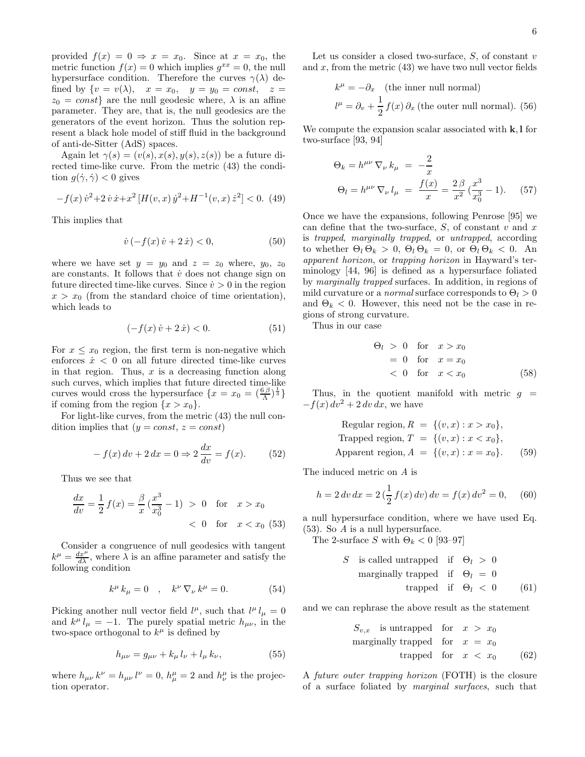provided  $f(x) = 0 \Rightarrow x = x_0$ . Since at  $x = x_0$ , the metric function  $f(x) = 0$  which implies  $g^{xx} = 0$ , the null hypersurface condition. Therefore the curves  $\gamma(\lambda)$  defined by  $\{v = v(\lambda), \quad x = x_0, \quad y = y_0 = const, \quad z =$  $z_0 = const$  are the null geodesic where,  $\lambda$  is an affine parameter. They are, that is, the null geodesics are the generators of the event horizon. Thus the solution represent a black hole model of stiff fluid in the background of anti-de-Sitter (AdS) spaces.

Again let  $\gamma(s) = (v(s), x(s), y(s), z(s))$  be a future directed time-like curve. From the metric (43) the condition  $g(\dot{\gamma}, \dot{\gamma}) < 0$  gives

$$
-f(x)\,\dot{v}^2 + 2\,\dot{v}\,\dot{x} + x^2\,[H(v,x)\,\dot{y}^2 + H^{-1}(v,x)\,\dot{z}^2] < 0. \tag{49}
$$

This implies that

$$
\dot{v}(-f(x)\,\dot{v}+2\,\dot{x}) < 0,\tag{50}
$$

where we have set  $y = y_0$  and  $z = z_0$  where,  $y_0$ ,  $z_0$ are constants. It follows that  $\dot{v}$  does not change sign on future directed time-like curves. Since  $\dot{v} > 0$  in the region  $x > x_0$  (from the standard choice of time orientation), which leads to

$$
(-f(x)\,\dot{v} + 2\,\dot{x}) < 0. \tag{51}
$$

For  $x \leq x_0$  region, the first term is non-negative which enforces  $\dot{x}$  < 0 on all future directed time-like curves in that region. Thus,  $x$  is a decreasing function along such curves, which implies that future directed time-like curves would cross the hypersurface  $\{x = x_0 = (\frac{6\beta}{\Lambda})^{\frac{1}{3}}\}$ if coming from the region  $\{x > x_0\}$ .

For light-like curves, from the metric (43) the null condition implies that  $(y = const, z = const)$ 

$$
-f(x) dv + 2 dx = 0 \Rightarrow 2 \frac{dx}{dv} = f(x).
$$
 (52)

Thus we see that

$$
\frac{dx}{dv} = \frac{1}{2} f(x) = \frac{\beta}{x} \left( \frac{x^3}{x_0^3} - 1 \right) > 0 \quad \text{for} \quad x > x_0
$$
  
< 0 \quad \text{for} \quad x < x\_0 \tag{53}

Consider a congruence of null geodesics with tangent  $k^{\mu} = \frac{dx^{\mu}}{d\lambda}$ , where  $\lambda$  is an affine parameter and satisfy the following condition

$$
k^{\mu} k_{\mu} = 0 \quad , \quad k^{\nu} \nabla_{\nu} k^{\mu} = 0. \tag{54}
$$

Picking another null vector field  $l^{\mu}$ , such that  $l^{\mu} l_{\mu} = 0$ and  $k^{\mu} l_{\mu} = -1$ . The purely spatial metric  $h_{\mu\nu}$ , in the two-space orthogonal to  $k^{\mu}$  is defined by

$$
h_{\mu\nu} = g_{\mu\nu} + k_{\mu} l_{\nu} + l_{\mu} k_{\nu}, \tag{55}
$$

where  $h_{\mu\nu} k^{\nu} = h_{\mu\nu} l^{\nu} = 0$ ,  $h^{\mu}_{\mu} = 2$  and  $h^{\mu}_{\nu}$  is the projection operator.

Let us consider a closed two-surface,  $S$ , of constant  $v$ and  $x$ , from the metric  $(43)$  we have two null vector fields

$$
k^{\mu} = -\partial_x \quad \text{(the inner null normal)}
$$
  

$$
l^{\mu} = \partial_v + \frac{1}{2} f(x) \partial_x \text{ (the outer null normal). (56)}
$$

We compute the expansion scalar associated with  $k, l$  for two-surface [93, 94]

$$
\Theta_k = h^{\mu\nu} \nabla_{\nu} k_{\mu} = -\frac{2}{x}
$$
  
\n
$$
\Theta_l = h^{\mu\nu} \nabla_{\nu} l_{\mu} = \frac{f(x)}{x} = \frac{2\beta}{x^2} (\frac{x^3}{x_0^3} - 1).
$$
 (57)

Once we have the expansions, following Penrose [95] we can define that the two-surface,  $S$ , of constant v and x is trapped, marginally trapped, or untrapped, according to whether  $\Theta_l \Theta_k > 0$ ,  $\Theta_l \Theta_k = 0$ , or  $\Theta_l \Theta_k < 0$ . An apparent horizon, or trapping horizon in Hayward's terminology [44, 96] is defined as a hypersurface foliated by marginally trapped surfaces. In addition, in regions of mild curvature or a *normal* surface corresponds to  $\Theta_l > 0$ and  $\Theta_k < 0$ . However, this need not be the case in regions of strong curvature.

Thus in our case

$$
\Theta_l > 0 \quad \text{for} \quad x > x_0
$$
  
= 0 for  $x = x_0$   
< 0 for  $x < x_0$  (58)

Thus, in the quotient manifold with metric  $q =$  $-f(x) dv<sup>2</sup> + 2 dv dx$ , we have

Regular region, 
$$
R = \{(v, x) : x > x_0\}
$$
,  
Trapped region,  $T = \{(v, x) : x < x_0\}$ ,  
Apparent region,  $A = \{(v, x) : x = x_0\}$ . (59)

The induced metric on A is

$$
h = 2 dv dx = 2 \left(\frac{1}{2} f(x) dv\right) dv = f(x) dv^2 = 0, \quad (60)
$$

a null hypersurface condition, where we have used Eq. (53). So A is a null hypersurface.

The 2-surface  $S$  with  $\Theta_k<0$  [93–97]

S is called untrapped if 
$$
\Theta_l > 0
$$
  
marginally trapped if  $\Theta_l = 0$   
trapped if  $\Theta_l < 0$  (61)

and we can rephrase the above result as the statement

$$
S_{v,x} \quad \text{is untrapped} \quad \text{for} \quad x > x_0
$$
\nmarginally trapped for  $x = x_0$ 

\ntrapped for  $x < x_0$ 

\n(62)

A future outer trapping horizon (FOTH) is the closure of a surface foliated by marginal surfaces, such that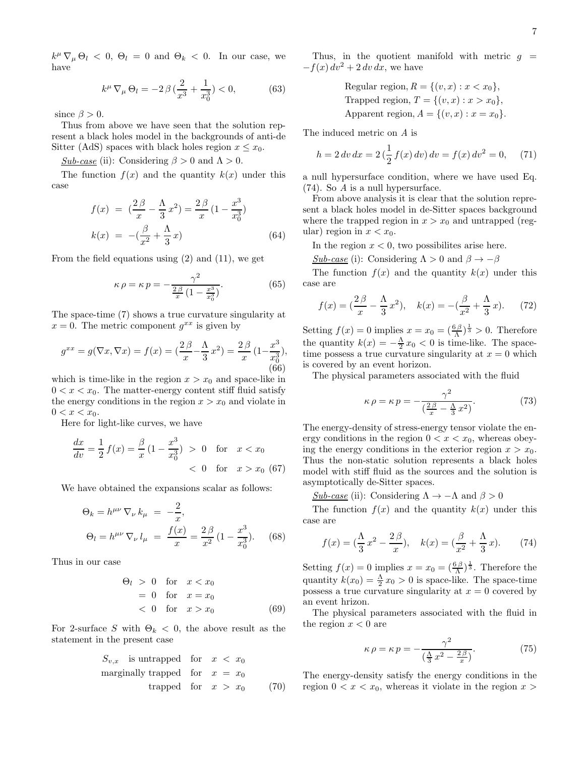$k^{\mu} \nabla_{\mu} \Theta_l < 0$ ,  $\Theta_l = 0$  and  $\Theta_k < 0$ . In our case, we have

$$
k^{\mu} \nabla_{\mu} \Theta_l = -2 \beta \left( \frac{2}{x^3} + \frac{1}{x_0^3} \right) < 0,\tag{63}
$$

since  $\beta > 0$ .

Thus from above we have seen that the solution represent a black holes model in the backgrounds of anti-de Sitter (AdS) spaces with black holes region  $x \leq x_0$ .

Sub-case (ii): Considering  $\beta > 0$  and  $\Lambda > 0$ .

The function  $f(x)$  and the quantity  $k(x)$  under this case

$$
f(x) = \left(\frac{2\beta}{x} - \frac{\Lambda}{3}x^2\right) = \frac{2\beta}{x}\left(1 - \frac{x^3}{x_0^3}\right)
$$
  

$$
k(x) = -\left(\frac{\beta}{x^2} + \frac{\Lambda}{3}x\right)
$$
 (64)

From the field equations using  $(2)$  and  $(11)$ , we get

$$
\kappa \rho = \kappa p = -\frac{\gamma^2}{\frac{2\beta}{x} \left(1 - \frac{x^3}{x_0^3}\right)}.\tag{65}
$$

The space-time (7) shows a true curvature singularity at  $x = 0$ . The metric component  $g^{xx}$  is given by

$$
g^{xx} = g(\nabla x, \nabla x) = f(x) = \left(\frac{2\,\beta}{x} - \frac{\Lambda}{3}x^2\right) = \frac{2\,\beta}{x}\left(1 - \frac{x^3}{x_0^3}\right),\tag{66}
$$

which is time-like in the region  $x > x_0$  and space-like in  $0 < x < x_0$ . The matter-energy content stiff fluid satisfy the energy conditions in the region  $x > x_0$  and violate in  $0 < x < x_0$ .

Here for light-like curves, we have

$$
\frac{dx}{dv} = \frac{1}{2} f(x) = \frac{\beta}{x} (1 - \frac{x^3}{x_0^3}) > 0 \quad \text{for} \quad x < x_0
$$
  
< 0 \quad \text{for} \quad x > x\_0 (67)

We have obtained the expansions scalar as follows:

$$
\Theta_k = h^{\mu\nu} \nabla_{\nu} k_{\mu} = -\frac{2}{x},
$$
  
\n
$$
\Theta_l = h^{\mu\nu} \nabla_{\nu} l_{\mu} = \frac{f(x)}{x} = \frac{2\beta}{x^2} (1 - \frac{x^3}{x_0^3}).
$$
 (68)

Thus in our case

$$
\Theta_l > 0 \quad \text{for} \quad x < x_0
$$
\n
$$
= 0 \quad \text{for} \quad x = x_0
$$
\n
$$
< 0 \quad \text{for} \quad x > x_0 \tag{69}
$$

For 2-surface S with  $\Theta_k < 0$ , the above result as the statement in the present case

$$
S_{v,x} \quad \text{is untrapped} \quad \text{for} \quad x < x_0
$$
\nmarginally trapped for  $x = x_0$ 

\ntrapped for  $x > x_0$  (70)

Thus, in the quotient manifold with metric  $g =$  $-f(x) dv<sup>2</sup> + 2 dv dx$ , we have

Regular region, 
$$
R = \{(v, x) : x < x_0\}
$$
,  
Trapped region,  $T = \{(v, x) : x > x_0\}$ ,  
Apparent region,  $A = \{(v, x) : x = x_0\}$ .

The induced metric on A is

$$
h = 2 dv dx = 2 \left(\frac{1}{2} f(x) dv\right) dv = f(x) dv^2 = 0, \quad (71)
$$

a null hypersurface condition, where we have used Eq. (74). So A is a null hypersurface.

From above analysis it is clear that the solution represent a black holes model in de-Sitter spaces background where the trapped region in  $x > x_0$  and untrapped (regular) region in  $x < x_0$ .

In the region  $x < 0$ , two possibilities arise here.

Sub-case (i): Considering  $\Lambda > 0$  and  $\beta \rightarrow -\beta$ 

The function  $f(x)$  and the quantity  $k(x)$  under this case are

$$
f(x) = \left(\frac{2\,\beta}{x} - \frac{\Lambda}{3}x^2\right), \quad k(x) = -\left(\frac{\beta}{x^2} + \frac{\Lambda}{3}x\right). \tag{72}
$$

Setting  $f(x) = 0$  implies  $x = x_0 = \left(\frac{6\beta}{\Lambda}\right)^{\frac{1}{3}} > 0$ . Therefore the quantity  $k(x) = -\frac{\Lambda}{2}x_0 < 0$  is time-like. The spacetime possess a true curvature singularity at  $x = 0$  which is covered by an event horizon.

The physical parameters associated with the fluid

$$
\kappa \rho = \kappa p = -\frac{\gamma^2}{\left(\frac{2\beta}{x} - \frac{\Lambda}{3}x^2\right)}.\tag{73}
$$

The energy-density of stress-energy tensor violate the energy conditions in the region  $0 < x < x_0$ , whereas obeying the energy conditions in the exterior region  $x > x_0$ . Thus the non-static solution represents a black holes model with stiff fluid as the sources and the solution is asymptotically de-Sitter spaces.

Sub-case (ii): Considering  $\Lambda \to -\Lambda$  and  $\beta > 0$ 

The function  $f(x)$  and the quantity  $k(x)$  under this case are

$$
f(x) = \left(\frac{\Lambda}{3}x^2 - \frac{2\beta}{x}\right), \quad k(x) = \left(\frac{\beta}{x^2} + \frac{\Lambda}{3}x\right). \tag{74}
$$

Setting  $f(x) = 0$  implies  $x = x_0 = \left(\frac{6\beta}{\Lambda}\right)^{\frac{1}{3}}$ . Therefore the quantity  $k(x_0) = \frac{\Lambda}{2} x_0 > 0$  is space-like. The space-time possess a true curvature singularity at  $x = 0$  covered by an event hrizon.

The physical parameters associated with the fluid in the region  $x < 0$  are

$$
\kappa \rho = \kappa p = -\frac{\gamma^2}{\left(\frac{\Lambda}{3}x^2 - \frac{2\beta}{x}\right)}.\tag{75}
$$

The energy-density satisfy the energy conditions in the region  $0 < x < x_0$ , whereas it violate in the region  $x >$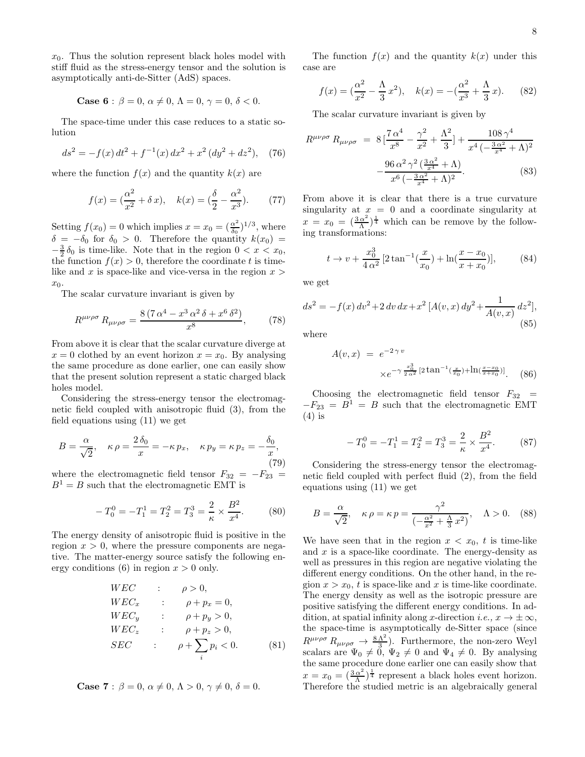$x_0$ . Thus the solution represent black holes model with stiff fluid as the stress-energy tensor and the solution is asymptotically anti-de-Sitter (AdS) spaces.

**Case 6**: 
$$
\beta = 0
$$
,  $\alpha \neq 0$ ,  $\Lambda = 0$ ,  $\gamma = 0$ ,  $\delta < 0$ .

The space-time under this case reduces to a static solution

$$
ds^{2} = -f(x) dt^{2} + f^{-1}(x) dx^{2} + x^{2} (dy^{2} + dz^{2}), \quad (76)
$$

where the function  $f(x)$  and the quantity  $k(x)$  are

$$
f(x) = \left(\frac{\alpha^2}{x^2} + \delta x\right), \quad k(x) = \left(\frac{\delta}{2} - \frac{\alpha^2}{x^3}\right). \tag{77}
$$

Setting  $f(x_0) = 0$  which implies  $x = x_0 = \left(\frac{\alpha^2}{\delta_0}\right)$  $\frac{\alpha^2}{\delta_0}$ )<sup>1/3</sup>, where  $\delta = -\delta_0$  for  $\delta_0 > 0$ . Therefore the quantity  $k(x_0) =$  $-\frac{3}{2}\delta_0$  is time-like. Note that in the region  $0 < x < x_0$ , the function  $f(x) > 0$ , therefore the coordinate t is timelike and x is space-like and vice-versa in the region  $x >$  $x_0$ .

The scalar curvature invariant is given by

$$
R^{\mu\nu\rho\sigma} R_{\mu\nu\rho\sigma} = \frac{8\left(7\,\alpha^4 - x^3\,\alpha^2\,\delta + x^6\,\delta^2\right)}{x^8},\tag{78}
$$

From above it is clear that the scalar curvature diverge at  $x = 0$  clothed by an event horizon  $x = x_0$ . By analysing the same procedure as done earlier, one can easily show that the present solution represent a static charged black holes model.

Considering the stress-energy tensor the electromagnetic field coupled with anisotropic fluid (3), from the field equations using (11) we get

$$
B = \frac{\alpha}{\sqrt{2}}, \quad \kappa \rho = \frac{2\,\delta_0}{x} = -\kappa \, p_x, \quad \kappa \, p_y = \kappa \, p_z = -\frac{\delta_0}{x},\tag{79}
$$

where the electromagnetic field tensor  $F_{32} = -F_{23} =$  $B^1 = B$  such that the electromagnetic EMT is

$$
-T_0^0 = -T_1^1 = T_2^2 = T_3^3 = \frac{2}{\kappa} \times \frac{B^2}{x^4}.
$$
 (80)

The energy density of anisotropic fluid is positive in the region  $x > 0$ , where the pressure components are negative. The matter-energy source satisfy the following energy conditions (6) in region  $x > 0$  only.

$$
WEC \t\t ; \t\rho > 0,
$$
  
\n
$$
WEC_x \t\t ; \t\rho + p_x = 0,
$$
  
\n
$$
WEC_y \t\t ; \t\rho + p_y > 0,
$$
  
\n
$$
WEC_z \t\t ; \t\rho + p_z > 0,
$$
  
\n
$$
SEC \t\t ; \t\rho + \sum_i p_i < 0.
$$
\n(81)

Case 7: 
$$
\beta = 0
$$
,  $\alpha \neq 0$ ,  $\Lambda > 0$ ,  $\gamma \neq 0$ ,  $\delta = 0$ .

The function  $f(x)$  and the quantity  $k(x)$  under this case are

$$
f(x) = \left(\frac{\alpha^2}{x^2} - \frac{\Lambda}{3} x^2\right), \quad k(x) = -\left(\frac{\alpha^2}{x^3} + \frac{\Lambda}{3} x\right). \tag{82}
$$

The scalar curvature invariant is given by

$$
R^{\mu\nu\rho\sigma} R_{\mu\nu\rho\sigma} = 8 \left[ \frac{7\alpha^4}{x^8} - \frac{\gamma^2}{x^2} + \frac{\Lambda^2}{3} \right] + \frac{108\gamma^4}{x^4 \left( -\frac{3\alpha^2}{x^4} + \Lambda \right)^2} - \frac{96\alpha^2\gamma^2 \left( \frac{3\alpha^2}{x^4} + \Lambda \right)}{x^6 \left( -\frac{3\alpha^2}{x^4} + \Lambda \right)^2}.
$$
 (83)

From above it is clear that there is a true curvature singularity at  $x = 0$  and a coordinate singularity at  $x = x_0 = \left(\frac{3\alpha^2}{\Lambda}\right)$  $\frac{\alpha^2}{\Lambda}$ <sup>1</sup> which can be remove by the following transformations:

$$
t \to v + \frac{x_0^3}{4\alpha^2} \left[ 2\tan^{-1}\left(\frac{x}{x_0}\right) + \ln\left(\frac{x - x_0}{x + x_0}\right) \right],\tag{84}
$$

we get

$$
ds^{2} = -f(x) dv^{2} + 2 dv dx + x^{2} [A(v, x) dy^{2} + \frac{1}{A(v, x)} dz^{2}],
$$
\n(85)

where

$$
A(v,x) = e^{-2\gamma v} \times e^{-\gamma \frac{x_0^3}{2\alpha^2} [2 \tan^{-1}(\frac{x}{x_0}) + \ln(\frac{x-x_0}{x+x_0})]}.
$$
 (86)

Choosing the electromagnetic field tensor  $F_{32}$  =  $-F_{23} = B<sup>1</sup> = B$  such that the electromagnetic EMT  $(4)$  is

$$
-T_0^0 = -T_1^1 = T_2^2 = T_3^3 = \frac{2}{\kappa} \times \frac{B^2}{x^4}.
$$
 (87)

Considering the stress-energy tensor the electromagnetic field coupled with perfect fluid (2), from the field equations using (11) we get

$$
B = \frac{\alpha}{\sqrt{2}}, \quad \kappa \,\rho = \kappa \, p = \frac{\gamma^2}{\left(-\frac{\alpha^2}{x^2} + \frac{\Lambda}{3} x^2\right)}, \quad \Lambda > 0. \tag{88}
$$

We have seen that in the region  $x < x_0$ , t is time-like and  $x$  is a space-like coordinate. The energy-density as well as pressures in this region are negative violating the different energy conditions. On the other hand, in the region  $x > x_0$ , t is space-like and x is time-like coordinate. The energy density as well as the isotropic pressure are positive satisfying the different energy conditions. In addition, at spatial infinity along x-direction *i.e.*,  $x \to \pm \infty$ , the space-time is asymptotically de-Sitter space (since  $R^{\mu\nu\rho\sigma} R_{\mu\nu\rho\sigma} \rightarrow \frac{8 \Lambda^2}{3}$ . Furthermore, the non-zero Weyl scalars are  $\Psi_0 \neq 0$ ,  $\Psi_2 \neq 0$  and  $\Psi_4 \neq 0$ . By analysing the same procedure done earlier one can easily show that  $x=x_0=(\frac{3\alpha^2}{\Lambda})$  $\frac{\alpha^2}{\Lambda}$ <sup>1</sup> represent a black holes event horizon. Therefore the studied metric is an algebraically general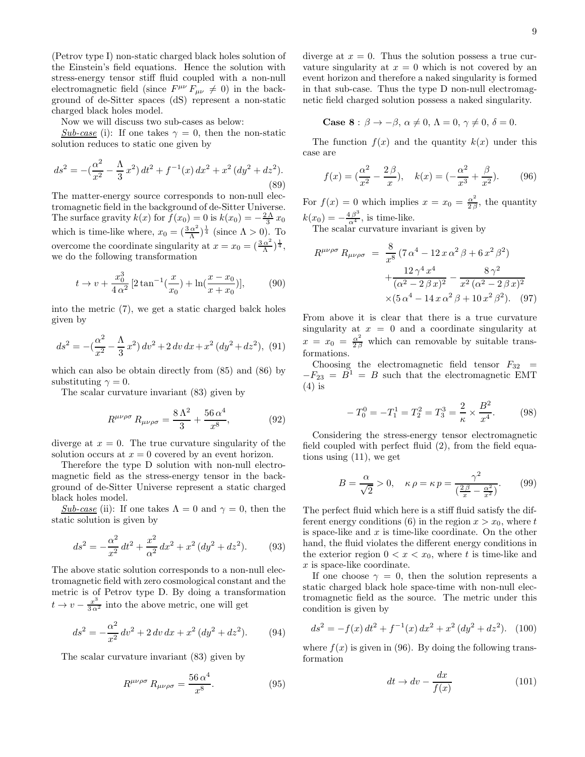(Petrov type I) non-static charged black holes solution of the Einstein's field equations. Hence the solution with stress-energy tensor stiff fluid coupled with a non-null electromagnetic field (since  $F^{\mu\nu} F_{\mu\nu} \neq 0$ ) in the background of de-Sitter spaces (dS) represent a non-static charged black holes model.

Now we will discuss two sub-cases as below:

Sub-case (i): If one takes  $\gamma = 0$ , then the non-static solution reduces to static one given by

$$
ds^{2} = -\left(\frac{\alpha^{2}}{x^{2}} - \frac{\Lambda}{3}x^{2}\right)dt^{2} + f^{-1}(x) dx^{2} + x^{2} (dy^{2} + dz^{2}).
$$
\n(89)

The matter-energy source corresponds to non-null electromagnetic field in the background of de-Sitter Universe. The surface gravity  $k(x)$  for  $f(x_0) = 0$  is  $k(x_0) = -\frac{2\Lambda}{3}x_0$ which is time-like where,  $x_0 = \left(\frac{3\alpha^2}{\Lambda}\right)$  $\frac{\alpha^2}{\Lambda}$ <sup> $\frac{1}{4}$ </sup> (since  $\Lambda > 0$ ). To overcome the coordinate singularity at  $x = x_0 = \left(\frac{3\alpha^2}{\Lambda}\right)$  $\frac{\alpha^2}{\Lambda}\big)^{\frac{1}{4}},$ we do the following transformation

$$
t \to v + \frac{x_0^3}{4\alpha^2} \left[ 2\tan^{-1}\left(\frac{x}{x_0}\right) + \ln\left(\frac{x - x_0}{x + x_0}\right) \right],\tag{90}
$$

into the metric (7), we get a static charged balck holes given by

$$
ds^{2} = -\left(\frac{\alpha^{2}}{x^{2}} - \frac{\Lambda}{3}x^{2}\right)dv^{2} + 2 dv dx + x^{2} (dy^{2} + dz^{2}),
$$
 (91)

which can also be obtain directly from (85) and (86) by substituting  $\gamma = 0$ .

The scalar curvature invariant (83) given by

$$
R^{\mu\nu\rho\sigma} R_{\mu\nu\rho\sigma} = \frac{8\Lambda^2}{3} + \frac{56\,\alpha^4}{x^8},\tag{92}
$$

diverge at  $x = 0$ . The true curvature singularity of the solution occurs at  $x = 0$  covered by an event horizon.

Therefore the type D solution with non-null electromagnetic field as the stress-energy tensor in the background of de-Sitter Universe represent a static charged black holes model.

Sub-case (ii): If one takes  $\Lambda = 0$  and  $\gamma = 0$ , then the static solution is given by

$$
ds^{2} = -\frac{\alpha^{2}}{x^{2}}dt^{2} + \frac{x^{2}}{\alpha^{2}}dx^{2} + x^{2}(dy^{2} + dz^{2}).
$$
 (93)

The above static solution corresponds to a non-null electromagnetic field with zero cosmological constant and the metric is of Petrov type D. By doing a transformation  $t \to v - \frac{x^3}{3\alpha^2}$  into the above metric, one will get

$$
ds^{2} = -\frac{\alpha^{2}}{x^{2}} dv^{2} + 2 dv dx + x^{2} (dy^{2} + dz^{2}).
$$
 (94)

The scalar curvature invariant (83) given by

$$
R^{\mu\nu\rho\sigma} R_{\mu\nu\rho\sigma} = \frac{56 \,\alpha^4}{x^8}.
$$
 (95)

diverge at  $x = 0$ . Thus the solution possess a true curvature singularity at  $x = 0$  which is not covered by an event horizon and therefore a naked singularity is formed in that sub-case. Thus the type D non-null electromagnetic field charged solution possess a naked singularity.

Case 8: 
$$
\beta \to -\beta
$$
,  $\alpha \neq 0$ ,  $\Lambda = 0$ ,  $\gamma \neq 0$ ,  $\delta = 0$ .

The function  $f(x)$  and the quantity  $k(x)$  under this case are

$$
f(x) = \left(\frac{\alpha^2}{x^2} - \frac{2\beta}{x}\right), \quad k(x) = \left(-\frac{\alpha^2}{x^3} + \frac{\beta}{x^2}\right). \tag{96}
$$

For  $f(x) = 0$  which implies  $x = x_0 = \frac{\alpha^2}{26}$  $\frac{\alpha^2}{2\beta}$ , the quantity  $k(x_0) = -\frac{4\beta^3}{\alpha^4}$ , is time-like.

The scalar curvature invariant is given by

$$
R^{\mu\nu\rho\sigma} R_{\mu\nu\rho\sigma} = \frac{8}{x^8} (7 \alpha^4 - 12 x \alpha^2 \beta + 6 x^2 \beta^2) + \frac{12 \gamma^4 x^4}{(\alpha^2 - 2 \beta x)^2} - \frac{8 \gamma^2}{x^2 (\alpha^2 - 2 \beta x)^2} \times (5 \alpha^4 - 14 x \alpha^2 \beta + 10 x^2 \beta^2). \tag{97}
$$

From above it is clear that there is a true curvature singularity at  $x = 0$  and a coordinate singularity at  $x = x_0 = \frac{\alpha^2}{2\beta}$  which can removable by suitable transformations.

Choosing the electromagnetic field tensor  $F_{32}$  =  $-F_{23} = B<sup>1</sup> = B$  such that the electromagnetic EMT  $(4)$  is

$$
-T_0^0 = -T_1^1 = T_2^2 = T_3^3 = \frac{2}{\kappa} \times \frac{B^2}{x^4}.
$$
 (98)

Considering the stress-energy tensor electromagnetic field coupled with perfect fluid (2), from the field equations using (11), we get

$$
B = \frac{\alpha}{\sqrt{2}} > 0, \quad \kappa \, \rho = \kappa \, p = \frac{\gamma^2}{\left(\frac{2\beta}{x} - \frac{\alpha^2}{x^2}\right)}.\tag{99}
$$

The perfect fluid which here is a stiff fluid satisfy the different energy conditions (6) in the region  $x > x_0$ , where t is space-like and  $x$  is time-like coordinate. On the other hand, the fluid violates the different energy conditions in the exterior region  $0 < x < x_0$ , where t is time-like and x is space-like coordinate.

If one choose  $\gamma = 0$ , then the solution represents a static charged black hole space-time with non-null electromagnetic field as the source. The metric under this condition is given by

$$
ds^{2} = -f(x) dt^{2} + f^{-1}(x) dx^{2} + x^{2} (dy^{2} + dz^{2}).
$$
 (100)

where  $f(x)$  is given in (96). By doing the following transformation

$$
dt \to dv - \frac{dx}{f(x)}\tag{101}
$$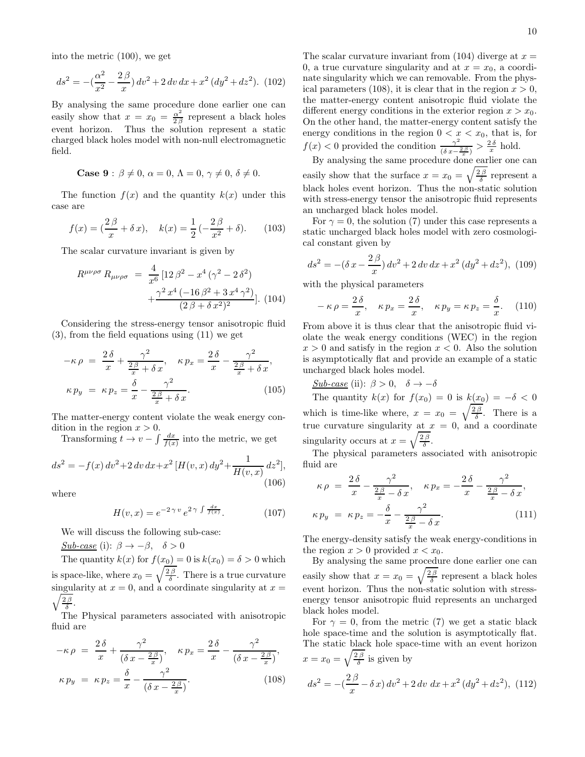into the metric (100), we get

$$
ds^{2} = -\left(\frac{\alpha^{2}}{x^{2}} - \frac{2\beta}{x}\right)dv^{2} + 2\,dv\,dx + x^{2}\left(dy^{2} + dz^{2}\right). \tag{102}
$$

By analysing the same procedure done earlier one can easily show that  $x = x_0 = \frac{\alpha^2}{2\beta}$  $\frac{\alpha}{2\beta}$  represent a black holes event horizon. Thus the solution represent a static charged black holes model with non-null electromagnetic field.

$$
\textbf{Case 9}: \, \beta \neq 0, \, \alpha=0, \, \Lambda=0, \, \gamma \neq 0, \, \delta \neq 0.
$$

The function  $f(x)$  and the quantity  $k(x)$  under this case are

$$
f(x) = \left(\frac{2\beta}{x} + \delta x\right), \quad k(x) = \frac{1}{2}\left(-\frac{2\beta}{x^2} + \delta\right). \tag{103}
$$

The scalar curvature invariant is given by

$$
R^{\mu\nu\rho\sigma} R_{\mu\nu\rho\sigma} = \frac{4}{x^6} \left[ 12 \beta^2 - x^4 \left( \gamma^2 - 2 \delta^2 \right) + \frac{\gamma^2 x^4 \left( -16 \beta^2 + 3 x^4 \gamma^2 \right)}{\left( 2 \beta + \delta x^2 \right)^2} \right].
$$
 (104)

Considering the stress-energy tensor anisotropic fluid (3), from the field equations using (11) we get

$$
-\kappa \rho = \frac{2\delta}{x} + \frac{\gamma^2}{\frac{2\beta}{x} + \delta x}, \quad \kappa p_x = \frac{2\delta}{x} - \frac{\gamma^2}{\frac{2\beta}{x} + \delta x},
$$

$$
\kappa p_y = \kappa p_z = \frac{\delta}{x} - \frac{\gamma^2}{\frac{2\beta}{x} + \delta x}.
$$
(105)

The matter-energy content violate the weak energy condition in the region  $x > 0$ .

Transforming  $t \to v - \int \frac{dx}{f(x)}$  into the metric, we get

$$
ds^{2} = -f(x) dv^{2} + 2 dv dx + x^{2} [H(v, x) dy^{2} + \frac{1}{H(v, x)} dz^{2}],
$$
\n(106)

where

$$
H(v, x) = e^{-2\gamma v} e^{2\gamma \int \frac{dx}{f(x)}}.
$$
 (107)

We will discuss the following sub-case:

Sub-case (i):  $\beta \rightarrow -\beta$ ,  $\delta > 0$ 

The quantity  $k(x)$  for  $f(x_0) = 0$  is  $k(x_0) = \delta > 0$  which is space-like, where  $x_0 = \sqrt{\frac{2\beta}{\delta}}$ . There is a true curvature  $\sqrt{\frac{2\beta}{\delta}}$ . singularity at  $x = 0$ , and a coordinate singularity at  $x =$ 

The Physical parameters associated with anisotropic fluid are

$$
-\kappa \rho = \frac{2\delta}{x} + \frac{\gamma^2}{(\delta x - \frac{2\beta}{x})}, \quad \kappa p_x = \frac{2\delta}{x} - \frac{\gamma^2}{(\delta x - \frac{2\beta}{x})},
$$

$$
\kappa p_y = \kappa p_z = \frac{\delta}{x} - \frac{\gamma^2}{(\delta x - \frac{2\beta}{x})}.
$$
(108)

The scalar curvature invariant from  $(104)$  diverge at  $x =$ 0, a true curvature singularity and at  $x = x_0$ , a coordinate singularity which we can removable. From the physical parameters (108), it is clear that in the region  $x > 0$ , the matter-energy content anisotropic fluid violate the different energy conditions in the exterior region  $x > x_0$ .

On the other hand, the matter-energy content satisfy the energy conditions in the region  $0 < x < x_0$ , that is, for  $f(x) < 0$  provided the condition  $\frac{\gamma^2}{\sqrt{2\pi}}$  $\frac{\gamma^2}{(\delta x - \frac{2\beta}{x})} > \frac{2\delta}{x}$  hold.

By analysing the same procedure done earlier one can easily show that the surface  $x = x_0 = \sqrt{\frac{2\beta}{\delta}}$  represent a black holes event horizon. Thus the non-static solution with stress-energy tensor the anisotropic fluid represents an uncharged black holes model.

For  $\gamma = 0$ , the solution (7) under this case represents a static uncharged black holes model with zero cosmological constant given by

$$
ds^{2} = -(\delta x - \frac{2\beta}{x}) dv^{2} + 2 dv dx + x^{2} (dy^{2} + dz^{2}), (109)
$$

with the physical parameters

$$
-\kappa \rho = \frac{2\delta}{x}, \quad \kappa p_x = \frac{2\delta}{x}, \quad \kappa p_y = \kappa p_z = \frac{\delta}{x}.
$$
 (110)

From above it is thus clear that the anisotropic fluid violate the weak energy conditions (WEC) in the region  $x > 0$  and satisfy in the region  $x < 0$ . Also the solution is asymptotically flat and provide an example of a static uncharged black holes model.

Sub-case (ii):  $\beta > 0$ ,  $\delta \rightarrow -\delta$ 

The quantity  $k(x)$  for  $f(x_0) = 0$  is  $k(x_0) = -\delta < 0$ which is time-like where,  $x = x_0 = \sqrt{\frac{2\beta}{\delta}}$ . There is a true curvature singularity at  $x = 0$ , and a coordinate singularity occurs at  $x = \sqrt{\frac{2\beta}{\delta}}$ .

The physical parameters associated with anisotropic fluid are

$$
\kappa \rho = \frac{2\delta}{x} - \frac{\gamma^2}{\frac{2\beta}{x} - \delta x}, \quad \kappa p_x = -\frac{2\delta}{x} - \frac{\gamma^2}{\frac{2\beta}{x} - \delta x},
$$

$$
\kappa p_y = \kappa p_z = -\frac{\delta}{x} - \frac{\gamma^2}{\frac{2\beta}{x} - \delta x}.
$$
(111)

The energy-density satisfy the weak energy-conditions in the region  $x > 0$  provided  $x < x_0$ .

By analysing the same procedure done earlier one can easily show that  $x = x_0 = \sqrt{\frac{2\beta}{\delta}}$  represent a black holes event horizon. Thus the non-static solution with stressenergy tensor anisotropic fluid represents an uncharged black holes model.

For  $\gamma = 0$ , from the metric (7) we get a static black hole space-time and the solution is asymptotically flat. The static black hole space-time with an event horizon  $x = x_0 = \sqrt{\frac{2\beta}{\delta}}$  is given by

$$
ds^{2} = -\left(\frac{2\beta}{x} - \delta x\right) dv^{2} + 2 dv \, dx + x^{2} \left(dy^{2} + dz^{2}\right), \tag{112}
$$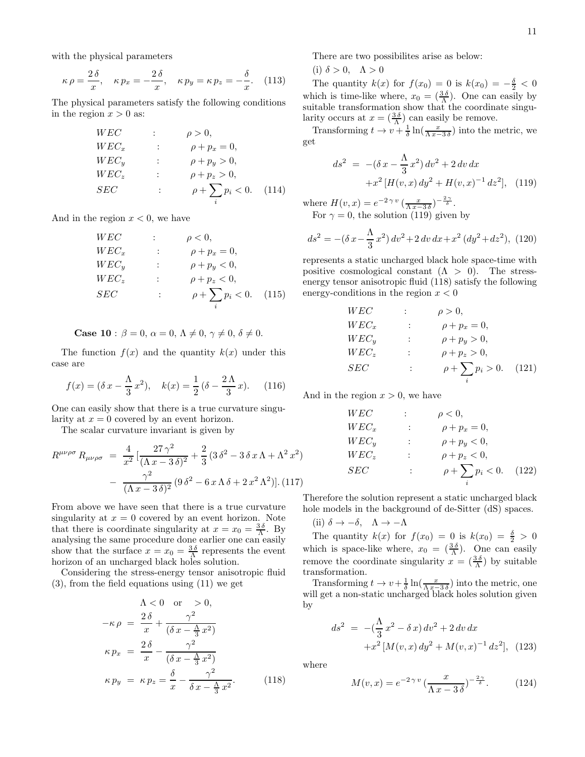with the physical parameters

$$
\kappa \rho = \frac{2 \delta}{x}, \quad \kappa p_x = -\frac{2 \delta}{x}, \quad \kappa p_y = \kappa p_z = -\frac{\delta}{x}.
$$
 (113)

The physical parameters satisfy the following conditions in the region  $x > 0$  as:

$$
WEC \t\t ; \t\rho > 0,
$$
  
\n
$$
WEC_x \t\t ; \t\rho + p_x = 0,
$$
  
\n
$$
WEC_y \t\t ; \t\rho + p_y > 0,
$$
  
\n
$$
WEC_z \t\t ; \t\rho + p_z > 0,
$$
  
\n
$$
SEC \t\t ; \t\rho + \sum_i p_i < 0.
$$
 (114)

And in the region  $x < 0$ , we have

W EC : ρ < 0, W EC<sup>x</sup> : ρ + p<sup>x</sup> = 0, W EC<sup>y</sup> : ρ + p<sup>y</sup> < 0, W EC<sup>z</sup> : ρ + p<sup>z</sup> < 0, SEC : ρ + X i p<sup>i</sup> < 0. (115)

Case 10 :  $\beta = 0$ ,  $\alpha = 0$ ,  $\Lambda \neq 0$ ,  $\gamma \neq 0$ ,  $\delta \neq 0$ .

The function  $f(x)$  and the quantity  $k(x)$  under this case are

$$
f(x) = (\delta x - \frac{\Lambda}{3} x^2), \quad k(x) = \frac{1}{2} (\delta - \frac{2\Lambda}{3} x). \tag{116}
$$

One can easily show that there is a true curvature singularity at  $x = 0$  covered by an event horizon.

The scalar curvature invariant is given by

$$
R^{\mu\nu\rho\sigma} R_{\mu\nu\rho\sigma} = \frac{4}{x^2} \left[ \frac{27\gamma^2}{(\Lambda x - 3\,\delta)^2} + \frac{2}{3} \left( 3\,\delta^2 - 3\,\delta\,x\,\Lambda + \Lambda^2\,x^2 \right) \right. \\
\left. - \frac{\gamma^2}{(\Lambda x - 3\,\delta)^2} \left( 9\,\delta^2 - 6\,x\,\Lambda\,\delta + 2\,x^2\,\Lambda^2 \right) \right].
$$
 (117)

From above we have seen that there is a true curvature singularity at  $x = 0$  covered by an event horizon. Note that there is coordinate singularity at  $x = x_0 = \frac{3\delta}{\Lambda}$ . By analysing the same procedure done earlier one can easily show that the surface  $x = x_0 = \frac{3\delta}{\Lambda}$  represents the event horizon of an uncharged black holes solution.

Considering the stress-energy tensor anisotropic fluid (3), from the field equations using (11) we get

$$
\Lambda < 0 \quad \text{or} \quad > 0,
$$
\n
$$
-\kappa \rho = \frac{2\delta}{x} + \frac{\gamma^2}{(\delta x - \frac{\Lambda}{3} x^2)}
$$
\n
$$
\kappa p_x = \frac{2\delta}{x} - \frac{\gamma^2}{(\delta x - \frac{\Lambda}{3} x^2)}
$$
\n
$$
\kappa p_y = \kappa p_z = \frac{\delta}{x} - \frac{\gamma^2}{\delta x - \frac{\Lambda}{3} x^2}.
$$
\n(118)

There are two possibilites arise as below:

(i) 
$$
\delta > 0
$$
,  $\Lambda > 0$ 

The quantity  $k(x)$  for  $f(x_0) = 0$  is  $k(x_0) = -\frac{\delta}{2} < 0$ which is time-like where,  $x_0 = \left(\frac{3\delta}{\Lambda}\right)$ . One can easily by suitable transformation show that the coordinate singularity occurs at  $x = \left(\frac{3\delta}{\Lambda}\right)$  can easily be remove.

Transforming  $t \to v + \frac{1}{\delta} \ln(\frac{x}{\Lambda x - 3\delta})$  into the metric, we get

$$
ds^{2} = -(\delta x - \frac{\Lambda}{3}x^{2}) dv^{2} + 2 dv dx
$$
  
+ $x^{2} [H(v, x) dy^{2} + H(v, x)^{-1} dz^{2}],$  (119)

where  $H(v, x) = e^{-2 \gamma v} \left(\frac{x}{\Lambda x - 3 \delta}\right)^{-\frac{2 \gamma}{\delta}}$ . For  $\gamma = 0$ , the solution (119) given by

$$
ds^{2} = -(\delta x - \frac{\Lambda}{3}x^{2}) dv^{2} + 2 dv dx + x^{2} (dy^{2} + dz^{2}), (120)
$$

represents a static uncharged black hole space-time with positive cosmological constant  $(Λ > 0)$ . The stressenergy tensor anisotropic fluid (118) satisfy the following energy-conditions in the region  $x < 0$ 

$$
WEC
$$
\n
$$
WEC_x
$$
\n
$$
WEC_y
$$
\n
$$
WEC_y
$$
\n
$$
WEC_z
$$
\n
$$
P + p_x = 0,
$$
\n
$$
WEC_y
$$
\n
$$
P + p_y > 0,
$$
\n
$$
Q + p_z > 0,
$$
\n
$$
SEC
$$
\n
$$
P + \sum_i p_i > 0.
$$
\n(121)

And in the region  $x > 0$ , we have

$$
WEC
$$
\n
$$
WEC_x
$$
\n
$$
WEC_y
$$
\n
$$
WEC_y
$$
\n
$$
WEC_z
$$
\n
$$
Q + p_x = 0,
$$
\n
$$
WEC_y
$$
\n
$$
Q + p_y < 0,
$$
\n
$$
WEC_z
$$
\n
$$
P + p_z < 0,
$$
\n
$$
SEC
$$
\n
$$
Q + \sum_i p_i < 0.
$$
\n(122)

Therefore the solution represent a static uncharged black hole models in the background of de-Sitter (dS) spaces.

(ii) 
$$
\delta \to -\delta
$$
,  $\Lambda \to -\Lambda$ 

The quantity  $k(x)$  for  $f(x_0) = 0$  is  $k(x_0) = \frac{\delta}{2} > 0$ which is space-like where,  $x_0 = \left(\frac{3\delta}{\Lambda}\right)$ . One can easily remove the coordinate singularity  $x = \left(\frac{3\delta}{\Lambda}\right)$  by suitable transformation.

Transforming  $t \to v + \frac{1}{\delta} \ln(\frac{x}{\Lambda x - 3 \delta})$  into the metric, one will get a non-static uncharged black holes solution given by

$$
ds^{2} = -(\frac{\Lambda}{3}x^{2} - \delta x) dv^{2} + 2 dv dx
$$
  
+ $x^{2} [M(v, x) dy^{2} + M(v, x)^{-1} dz^{2}],$  (123)

where

$$
M(v,x) = e^{-2\gamma v} \left(\frac{x}{\Lambda x - 3\delta}\right)^{-\frac{2\gamma}{\delta}}.
$$
 (124)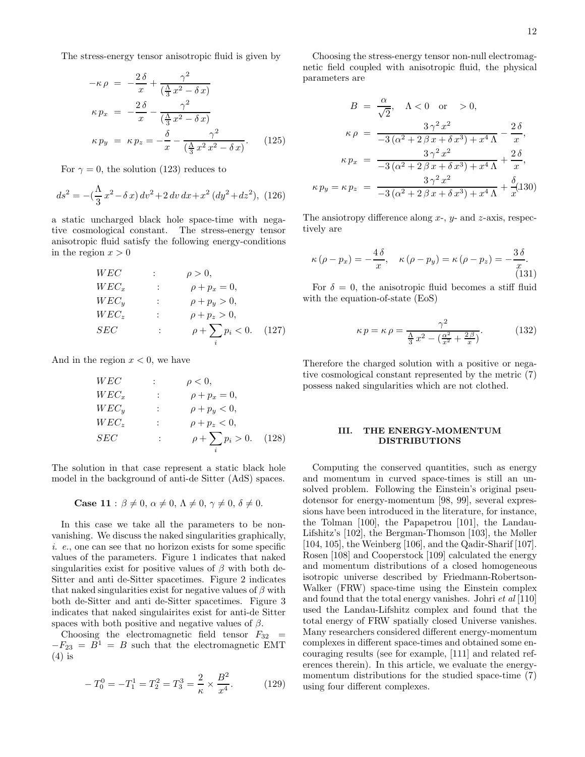The stress-energy tensor anisotropic fluid is given by

$$
-\kappa \rho = -\frac{2\delta}{x} + \frac{\gamma^2}{(\frac{\Lambda}{3}x^2 - \delta x)}
$$

$$
\kappa p_x = -\frac{2\delta}{x} - \frac{\gamma^2}{(\frac{\Lambda}{3}x^2 - \delta x)}
$$

$$
\kappa p_y = \kappa p_z = -\frac{\delta}{x} - \frac{\gamma^2}{(\frac{\Lambda}{3}x^2x^2 - \delta x)}.
$$
(125)

For  $\gamma = 0$ , the solution (123) reduces to

$$
ds^{2} = -\left(\frac{\Lambda}{3}x^{2} - \delta x\right)dv^{2} + 2 dv dx + x^{2} (dy^{2} + dz^{2}),
$$
 (126)

a static uncharged black hole space-time with negative cosmological constant. The stress-energy tensor anisotropic fluid satisfy the following energy-conditions in the region  $x > 0$ 

$$
WEC \t\t ; \t\rho > 0,
$$
  
\n
$$
WEC_x \t\t ; \t\rho + p_x = 0,
$$
  
\n
$$
WEC_y \t\t ; \t\rho + p_y > 0,
$$
  
\n
$$
WEC_z \t\t ; \t\rho + p_z > 0,
$$
  
\n
$$
SEC \t\t ; \t\rho + \sum_i p_i < 0.
$$
 (127)

And in the region  $x < 0$ , we have

W EC : ρ < 0, W EC<sup>x</sup> : ρ + p<sup>x</sup> = 0, W EC<sup>y</sup> : ρ + p<sup>y</sup> < 0, W EC<sup>z</sup> : ρ + p<sup>z</sup> < 0, SEC : ρ + X i p<sup>i</sup> > 0. (128)

The solution in that case represent a static black hole model in the background of anti-de Sitter (AdS) spaces.

Case 11 :  $\beta \neq 0$ ,  $\alpha \neq 0$ ,  $\Lambda \neq 0$ ,  $\gamma \neq 0$ ,  $\delta \neq 0$ .

In this case we take all the parameters to be nonvanishing. We discuss the naked singularities graphically, i. e., one can see that no horizon exists for some specific values of the parameters. Figure 1 indicates that naked singularities exist for positive values of  $\beta$  with both de-Sitter and anti de-Sitter spacetimes. Figure 2 indicates that naked singularities exist for negative values of  $\beta$  with both de-Sitter and anti de-Sitter spacetimes. Figure 3 indicates that naked singulairites exist for anti-de Sitter spaces with both positive and negative values of  $\beta$ .

Choosing the electromagnetic field tensor  $F_{32}$  =  $-F_{23} = \overline{B}^1 = B$  such that the electromagnetic EMT (4) is

$$
-T_0^0 = -T_1^1 = T_2^2 = T_3^3 = \frac{2}{\kappa} \times \frac{B^2}{x^4}.
$$
 (129)

Choosing the stress-energy tensor non-null electromagnetic field coupled with anisotropic fluid, the physical parameters are

$$
B = \frac{\alpha}{\sqrt{2}}, \quad \Lambda < 0 \quad \text{or} \quad > 0,
$$
\n
$$
\kappa \rho = \frac{3\gamma^2 x^2}{-3(\alpha^2 + 2\beta x + \delta x^3) + x^4 \Lambda} - \frac{2\delta}{x},
$$
\n
$$
\kappa p_x = \frac{3\gamma^2 x^2}{-3(\alpha^2 + 2\beta x + \delta x^3) + x^4 \Lambda} + \frac{2\delta}{x},
$$
\n
$$
\kappa p_y = \kappa p_z = \frac{3\gamma^2 x^2}{-3(\alpha^2 + 2\beta x + \delta x^3) + x^4 \Lambda} + \frac{\delta}{x}(130)
$$

The ansiotropy difference along  $x$ -,  $y$ - and  $z$ -axis, respectively are

$$
\kappa \left( \rho - p_x \right) = -\frac{4 \delta}{x}, \quad \kappa \left( \rho - p_y \right) = \kappa \left( \rho - p_z \right) = -\frac{3 \delta}{x}.
$$
\n(131)

For  $\delta = 0$ , the anisotropic fluid becomes a stiff fluid with the equation-of-state (EoS)

$$
\kappa p = \kappa \rho = \frac{\gamma^2}{\frac{\Lambda}{3}x^2 - \left(\frac{\alpha^2}{x^2} + \frac{2\beta}{x}\right)}.\tag{132}
$$

Therefore the charged solution with a positive or negative cosmological constant represented by the metric (7) possess naked singularities which are not clothed.

### III. THE ENERGY-MOMENTUM DISTRIBUTIONS

Computing the conserved quantities, such as energy and momentum in curved space-times is still an unsolved problem. Following the Einstein's original pseudotensor for energy-momentum [98, 99], several expressions have been introduced in the literature, for instance, the Tolman [100], the Papapetrou [101], the Landau-Lifshitz's [102], the Bergman-Thomson [103], the Møller [104, 105], the Weinberg [106], and the Qadir-Sharif [107]. Rosen [108] and Cooperstock [109] calculated the energy and momentum distributions of a closed homogeneous isotropic universe described by Friedmann-Robertson-Walker (FRW) space-time using the Einstein complex and found that the total energy vanishes. Johri et al [110] used the Landau-Lifshitz complex and found that the total energy of FRW spatially closed Universe vanishes. Many researchers considered different energy-momentum complexes in different space-times and obtained some encouraging results (see for example, [111] and related references therein). In this article, we evaluate the energymomentum distributions for the studied space-time (7) using four different complexes.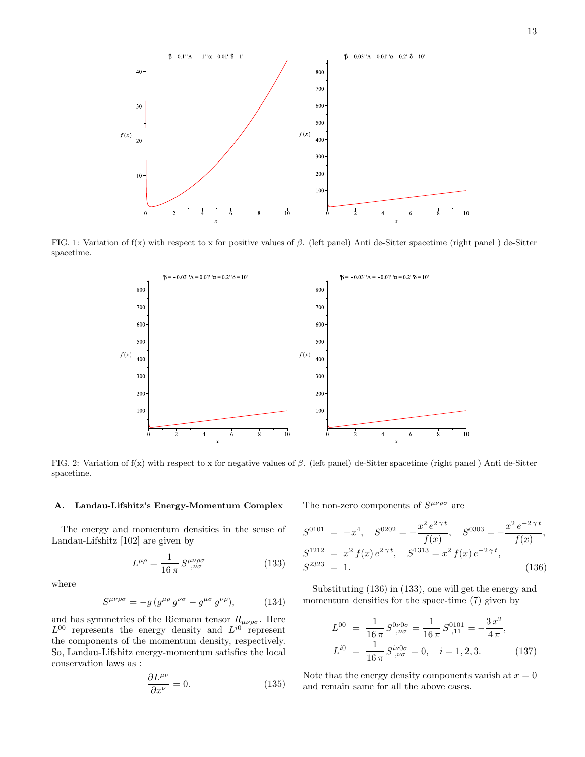

FIG. 1: Variation of  $f(x)$  with respect to x for positive values of  $\beta$ . (left panel) Anti de-Sitter spacetime (right panel) de-Sitter spacetime.



FIG. 2: Variation of  $f(x)$  with respect to x for negative values of  $\beta$ . (left panel) de-Sitter spacetime (right panel ) Anti de-Sitter spacetime.

## A. Landau-Lifshitz's Energy-Momentum Complex

The energy and momentum densities in the sense of Landau-Lifshitz [102] are given by

$$
L^{\mu\rho} = \frac{1}{16\,\pi} \, S^{\mu\nu\rho\sigma}_{\quad ,\nu\sigma} \tag{133}
$$

where

$$
S^{\mu\nu\rho\sigma} = -g \left( g^{\mu\rho} \, g^{\nu\sigma} - g^{\mu\sigma} \, g^{\nu\rho} \right),\tag{134}
$$

and has symmetries of the Riemann tensor  $R_{\mu\nu\rho\sigma}$ . Here  $L^{00}$  represents the energy density and  $L^{i0}$  represent the components of the momentum density, respectively. So, Landau-Lifshitz energy-momentum satisfies the local conservation laws as :

$$
\frac{\partial L^{\mu\nu}}{\partial x^{\nu}} = 0. \tag{135}
$$

The non-zero components of  $S^{\mu\nu\rho\sigma}$  are

$$
S^{0101} = -x^4, \quad S^{0202} = -\frac{x^2 e^{2\gamma t}}{f(x)}, \quad S^{0303} = -\frac{x^2 e^{-2\gamma t}}{f(x)},
$$
  
\n
$$
S^{1212} = x^2 f(x) e^{2\gamma t}, \quad S^{1313} = x^2 f(x) e^{-2\gamma t},
$$
  
\n
$$
S^{2323} = 1.
$$
\n(136)

Substituting (136) in (133), one will get the energy and momentum densities for the space-time (7) given by

$$
L^{00} = \frac{1}{16\pi} S^{0\nu 0\sigma}_{,\nu\sigma} = \frac{1}{16\pi} S^{0101}_{,11} = -\frac{3x^2}{4\pi},
$$
  
\n
$$
L^{i0} = \frac{1}{16\pi} S^{i\nu 0\sigma}_{,\nu\sigma} = 0, \quad i = 1, 2, 3.
$$
\n(137)

Note that the energy density components vanish at  $x = 0$ and remain same for all the above cases.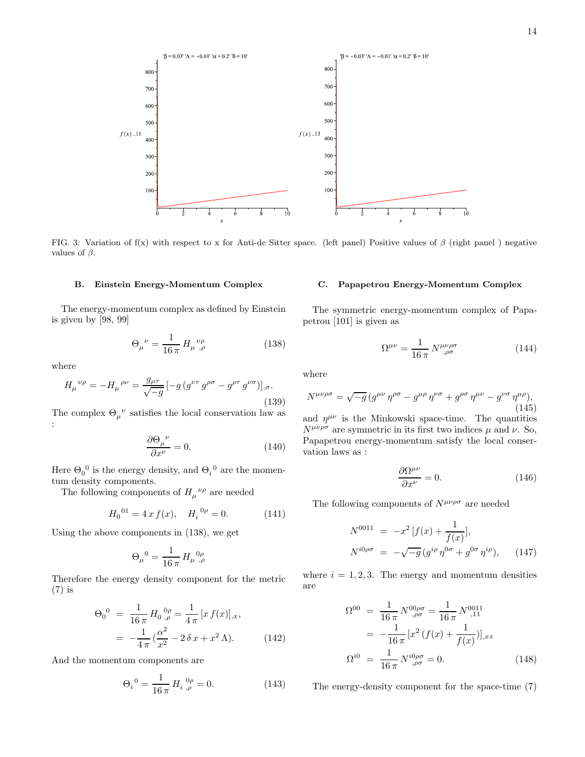

FIG. 3: Variation of  $f(x)$  with respect to x for Anti-de Sitter space. (left panel) Positive values of  $\beta$  (right panel) negative values of  $\beta$ .

### B. Einstein Energy-Momentum Complex

The energy-momentum complex as defined by Einstein is given by [98, 99]

$$
\Theta_{\mu}{}^{\nu} = \frac{1}{16 \pi} H_{\mu}{}^{\nu \rho}_{,\rho} \tag{138}
$$

where

$$
H_{\mu}^{\ \nu\rho} = -H_{\mu}^{\ \rho\nu} = \frac{g_{\mu\tau}}{\sqrt{-g}} \left[ -g \left( g^{\nu\tau} \, g^{\rho\sigma} - g^{\rho\tau} \, g^{\nu\sigma} \right) \right]_{,\sigma}.
$$
\n(139)

The complex  $\Theta_\mu^{\ \nu}$  satisfies the local conservation law as :

$$
\frac{\partial \Theta_{\mu}{}^{\nu}}{\partial x^{\nu}} = 0. \tag{140}
$$

Here  $\Theta_0^0$  is the energy density, and  $\Theta_i^0$  are the momentum density components.

The following components of  $H_\mu{}^{\nu\rho}$  are needed

$$
H_0^{01} = 4 x f(x), \quad H_i^{0\rho} = 0.
$$
 (141)

Using the above components in (138), we get

$$
\Theta_{\mu}{}^{0} = \frac{1}{16 \pi} H_{\mu}{}^{0\rho}_{,\rho}
$$

Therefore the energy density component for the metric (7) is

$$
\Theta_0^0 = \frac{1}{16 \pi} H_0^0{}_{,\rho}^0 = \frac{1}{4 \pi} [x f(x)]_{,x},
$$
  
= 
$$
-\frac{1}{4 \pi} (\frac{\alpha^2}{x^2} - 2 \delta x + x^2 \Lambda).
$$
 (142)

And the momentum components are

$$
\Theta_i^0 = \frac{1}{16\,\pi} H_i^0_{,\rho}^0 = 0. \tag{143}
$$

### C. Papapetrou Energy-Momentum Complex

The symmetric energy-momentum complex of Papapetrou [101] is given as

$$
\Omega^{\mu\nu} = \frac{1}{16 \pi} N^{\mu\nu\rho\sigma}_{\quad , \rho\sigma} \tag{144}
$$

where

$$
N^{\mu\nu\rho\sigma} = \sqrt{-g} \left( g^{\mu\nu} \eta^{\rho\sigma} - g^{\mu\rho} \eta^{\nu\sigma} + g^{\rho\sigma} \eta^{\mu\nu} - g^{\nu\sigma} \eta^{\mu\rho} \right),
$$
\n(145)

and  $\eta^{\mu\nu}$  is the Minkowski space-time. The quantities  $N^{\mu\nu\rho\sigma}$  are symmetric in its first two indices  $\mu$  and  $\nu$ . So, Papapetrou energy-momentum satisfy the local conservation laws as :

$$
\frac{\partial \Omega^{\mu\nu}}{\partial x^{\nu}} = 0.
$$
 (146)

The following components of  $N^{\mu\nu\rho\sigma}$  are needed

$$
N^{0011} = -x^2 [f(x) + \frac{1}{f(x)}],
$$
  
\n
$$
N^{i0\rho\sigma} = -\sqrt{-g} (g^{i\rho} \eta^{0\sigma} + g^{0\sigma} \eta^{i\rho}), \qquad (147)
$$

where  $i = 1, 2, 3$ . The energy and momentum densities are

$$
\Omega^{00} = \frac{1}{16 \pi} N^{00\rho\sigma}_{,\rho\sigma} = \frac{1}{16 \pi} N^{0011}_{,11}
$$

$$
= -\frac{1}{16 \pi} [x^2 (f(x) + \frac{1}{f(x)})]_{,xx}
$$

$$
\Omega^{i0} = \frac{1}{16 \pi} N^{i0\rho\sigma}_{,\rho\sigma} = 0.
$$
(148)

The energy-density component for the space-time (7)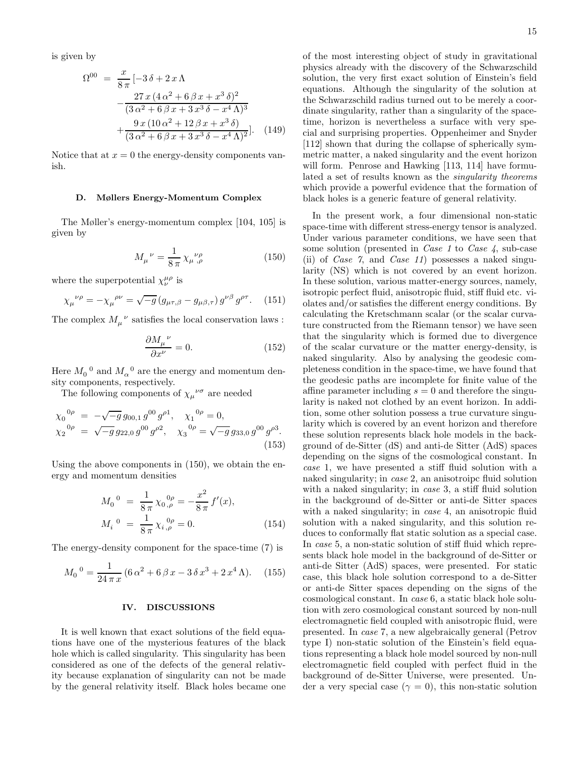is given by

$$
\Omega^{00} = \frac{x}{8\pi} \left[ -3\,\delta + 2\,x\,\Lambda \right.\n- \frac{27\,x\,(4\,\alpha^2 + 6\,\beta\,x + x^3\,\delta)^2}{(3\,\alpha^2 + 6\,\beta\,x + 3\,x^3\,\delta - x^4\,\Lambda)^3} \n+ \frac{9\,x\,(10\,\alpha^2 + 12\,\beta\,x + x^3\,\delta)}{(3\,\alpha^2 + 6\,\beta\,x + 3\,x^3\,\delta - x^4\,\Lambda)^2} \Big].
$$
\n(149)

Notice that at  $x = 0$  the energy-density components vanish.

### D. Møllers Energy-Momentum Complex

The Møller's energy-momentum complex [104, 105] is given by

$$
M_{\mu}{}^{\nu} = \frac{1}{8\,\pi} \,\chi_{\mu}{}^{\nu\rho}_{,\rho} \tag{150}
$$

where the superpotential  $\chi^{\mu\rho}_{\nu}$  is

$$
\chi_{\mu}^{\ \nu\rho} = -\chi_{\mu}^{\ \rho\nu} = \sqrt{-g} \left( g_{\mu\tau,\beta} - g_{\mu\beta,\tau} \right) g^{\nu\beta} g^{\rho\tau}.
$$
 (151)

The complex  $M_\mu^{\phantom{\mu}\nu}$  satisfies the local conservation laws :

$$
\frac{\partial M_{\mu}{}^{\nu}}{\partial x^{\nu}} = 0. \tag{152}
$$

Here  $M_0^{\;\;0}$  and  $M_\alpha^{\;\;0}$  are the energy and momentum density components, respectively.

The following components of  $\chi_{\mu}^{\ \nu\sigma}$  are needed

$$
\chi_0^{0\rho} = -\sqrt{-g} g_{00,1} g^{00} g^{\rho 1}, \quad \chi_1^{0\rho} = 0,
$$
  

$$
\chi_2^{0\rho} = \sqrt{-g} g_{22,0} g^{00} g^{\rho 2}, \quad \chi_3^{0\rho} = \sqrt{-g} g_{33,0} g^{00} g^{\rho 3}.
$$
  
(153)

Using the above components in (150), we obtain the energy and momentum densities

$$
M_0^{0} = \frac{1}{8\pi} \chi_0^{0\rho} = -\frac{x^2}{8\pi} f'(x),
$$
  
\n
$$
M_i^{0} = \frac{1}{8\pi} \chi_i^{0\rho} = 0.
$$
\n(154)

The energy-density component for the space-time (7) is

$$
M_0^0 = \frac{1}{24\pi x} (6\alpha^2 + 6\beta x - 3\delta x^3 + 2x^4 \Lambda). \quad (155)
$$

#### IV. DISCUSSIONS

It is well known that exact solutions of the field equations have one of the mysterious features of the black hole which is called singularity. This singularity has been considered as one of the defects of the general relativity because explanation of singularity can not be made by the general relativity itself. Black holes became one of the most interesting object of study in gravitational physics already with the discovery of the Schwarzschild solution, the very first exact solution of Einstein's field equations. Although the singularity of the solution at the Schwarzschild radius turned out to be merely a coordinate singularity, rather than a singularity of the spacetime, horizon is nevertheless a surface with very special and surprising properties. Oppenheimer and Snyder [112] shown that during the collapse of spherically symmetric matter, a naked singularity and the event horizon will form. Penrose and Hawking [113, 114] have formulated a set of results known as the singularity theorems which provide a powerful evidence that the formation of black holes is a generic feature of general relativity.

In the present work, a four dimensional non-static space-time with different stress-energy tensor is analyzed. Under various parameter conditions, we have seen that some solution (presented in *Case 1* to *Case 4*, sub-case (ii) of *Case 7*, and *Case 11*) possesses a naked singularity (NS) which is not covered by an event horizon. In these solution, various matter-energy sources, namely, isotropic perfect fluid, anisotropic fluid, stiff fluid etc. violates and/or satisfies the different energy conditions. By calculating the Kretschmann scalar (or the scalar curvature constructed from the Riemann tensor) we have seen that the singularity which is formed due to divergence of the scalar curvature or the matter energy-density, is naked singularity. Also by analysing the geodesic completeness condition in the space-time, we have found that the geodesic paths are incomplete for finite value of the affine parameter including  $s = 0$  and therefore the singularity is naked not clothed by an event horizon. In addition, some other solution possess a true curvature singularity which is covered by an event horizon and therefore these solution represents black hole models in the background of de-Sitter (dS) and anti-de Sitter (AdS) spaces depending on the signs of the cosmological constant. In case 1, we have presented a stiff fluid solution with a naked singularity; in case 2, an anisotroipc fluid solution with a naked singularity; in *case* 3, a stiff fluid solution in the background of de-Sitter or anti-de Sitter spaces with a naked singularity; in *case* 4, an anisotropic fluid solution with a naked singularity, and this solution reduces to conformally flat static solution as a special case. In case 5, a non-static solution of stiff fluid which represents black hole model in the background of de-Sitter or anti-de Sitter (AdS) spaces, were presented. For static case, this black hole solution correspond to a de-Sitter or anti-de Sitter spaces depending on the signs of the cosmological constant. In case 6, a static black hole solution with zero cosmological constant sourced by non-null electromagnetic field coupled with anisotropic fluid, were presented. In case 7, a new algebraically general (Petrov type I) non-static solution of the Einstein's field equations representing a black hole model sourced by non-null electromagnetic field coupled with perfect fluid in the background of de-Sitter Universe, were presented. Under a very special case ( $\gamma = 0$ ), this non-static solution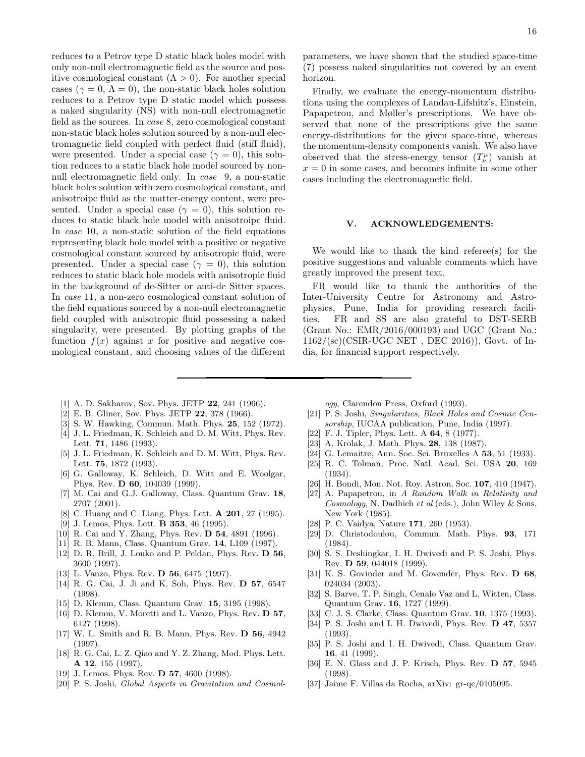reduces to a Petrov type D static black holes model with only non-null electromagnetic field as the source and positive cosmological constant  $(Λ > 0)$ . For another special cases ( $\gamma = 0$ ,  $\Lambda = 0$ ), the non-static black holes solution reduces to a Petrov type D static model which possess a naked singularity (NS) with non-null electromagnetic field as the sources. In case 8, zero cosmological constant non-static black holes solution sourced by a non-null electromagnetic field coupled with perfect fluid (stiff fluid), were presented. Under a special case ( $\gamma = 0$ ), this solution reduces to a static black hole model sourced by nonnull electromagnetic field only. In case 9, a non-static black holes solution with zero cosmological constant, and anisotroipc fluid as the matter-energy content, were presented. Under a special case ( $\gamma = 0$ ), this solution reduces to static black hole model with anisotroipc fluid. In case 10, a non-static solution of the field equations representing black hole model with a positive or negative cosmological constant sourced by anisotropic fluid, were presented. Under a special case ( $\gamma = 0$ ), this solution reduces to static black hole models with anisotropic fluid in the background of de-Sitter or anti-de Sitter spaces. In case 11, a non-zero cosmological constant solution of the field equations sourced by a non-null electromagnetic field coupled with anisotropic fluid possessing a naked singularity, were presented. By plotting graphs of the function  $f(x)$  against x for positive and negative cosmological constant, and choosing values of the different

- [1] A. D. Sakharov, Sov. Phys. JETP 22, 241 (1966).
- [2] E. B. Gliner, Sov. Phys. JETP 22, 378 (1966).
- [3] S. W. Hawking, Commun. Math. Phys. 25, 152 (1972).
- [4] J. L. Friedman, K. Schleich and D. M. Witt, Phys. Rev. Lett. 71, 1486 (1993).
- [5] J. L. Friedman, K. Schleich and D. M. Witt, Phys. Rev. Lett. **75**, 1872 (1993).
- [6] G. Galloway, K. Schleich, D. Witt and E. Woolgar, Phys. Rev. D 60, 104039 (1999).
- [7] M. Cai and G.J. Galloway, Class. Quantum Grav. 18, 2707 (2001).
- [8] C. Huang and C. Liang, Phys. Lett. **A 201**, 27 (1995).
- [9] J. Lemos, Phys. Lett. **B 353**, 46 (1995).
- [10] R. Cai and Y. Zhang, Phys. Rev. **D 54**, 4891 (1996).
- [11] R. B. Mann, Class. Quantum Grav. 14, L109 (1997).
- [12] D. R. Brill, J. Louko and P. Peldan, Phys. Rev. D 56, 3600 (1997).
- [13] L. Vanzo, Phys. Rev. **D 56**, 6475 (1997).
- [14] R. G. Cai, J. Ji and K. Soh, Phys. Rev. D 57, 6547 (1998).
- [15] D. Klemm, Class. Quantum Grav. 15, 3195 (1998).
- [16] D. Klemm, V. Moretti and L. Vanzo, Phys. Rev. D 57, 6127 (1998).
- [17] W. L. Smith and R. B. Mann, Phys. Rev. D 56, 4942 (1997).
- [18] R. G. Cai, L. Z. Qiao and Y. Z. Zhang, Mod. Phys. Lett. A 12, 155 (1997).
- [19] J. Lemos, Phys. Rev. **D 57**, 4600 (1998).
- [20] P. S. Joshi, *Global Aspects in Gravitation and Cosmol-*

16

parameters, we have shown that the studied space-time (7) possess naked singularities not covered by an event horizon.

Finally, we evaluate the energy-momentum distributions using the complexes of Landau-Lifshitz's, Einstein, Papapetrou, and Møller's prescriptions. We have observed that none of the prescriptions give the same energy-distributions for the given space-time, whereas the momentum-density components vanish. We also have observed that the stress-energy tensor  $(T^{\mu}_{\nu})$  vanish at  $x = 0$  in some cases, and becomes infinite in some other cases including the electromagnetic field.

#### V. ACKNOWLEDGEMENTS:

We would like to thank the kind referee(s) for the positive suggestions and valuable comments which have greatly improved the present text.

FR would like to thank the authorities of the Inter-University Centre for Astronomy and Astrophysics, Pune, India for providing research facilities. FR and SS are also grateful to DST-SERB (Grant No.: EMR/2016/000193) and UGC (Grant No.: 1162/(sc)(CSIR-UGC NET , DEC 2016)), Govt. of India, for financial support respectively.

*ogy*, Clarendon Press, Oxford (1993).

- [21] P. S. Joshi, *Singularities, Black Holes and Cosmic Censorship*, IUCAA publication, Pune, India (1997).
- [22] F. J. Tipler, Phys. Lett. A **64**, 8 (1977).
- [23] A. Krolak, J. Math. Phys. 28, 138 (1987).
- [24] G. Lemaitre, Ann. Soc. Sci. Bruxelles A **53**, 51 (1933).
- [25] R. C. Tolman, Proc. Natl. Acad. Sci. USA 20, 169 (1934).
- [26] H. Bondi, Mon. Not. Roy. Astron. Soc. 107, 410 (1947).
- [27] A. Papapetrou, in *A Random Walk in Relativity and Cosmology*, N. Dadhich *et al* (eds.), John Wiley & Sons, New York (1985).
- [28] P. C. Vaidya, Nature 171, 260 (1953).
- [29] D. Christodoulou, Commun. Math. Phys. 93, 171 (1984).
- [30] S. S. Deshingkar, I. H. Dwivedi and P. S. Joshi, Phys. Rev. D 59, 044018 (1999).
- [31] K. S. Govinder and M. Govender, Phys. Rev. D 68, 024034 (2003).
- [32] S. Barve, T. P. Singh, Cenalo Vaz and L. Witten, Class. Quantum Grav. 16, 1727 (1999).
- [33] C. J. S. Clarke, Class. Quantum Grav. **10**, 1375 (1993).
- [34] P. S. Joshi and I. H. Dwivedi, Phys. Rev. D 47, 5357 (1993).
- [35] P. S. Joshi and I. H. Dwivedi, Class. Quantum Grav. 16, 41 (1999).
- [36] E. N. Glass and J. P. Krisch, Phys. Rev. D 57, 5945 (1998).
- [37] Jaime F. Villas da Rocha, arXiv: gr-qc/0105095.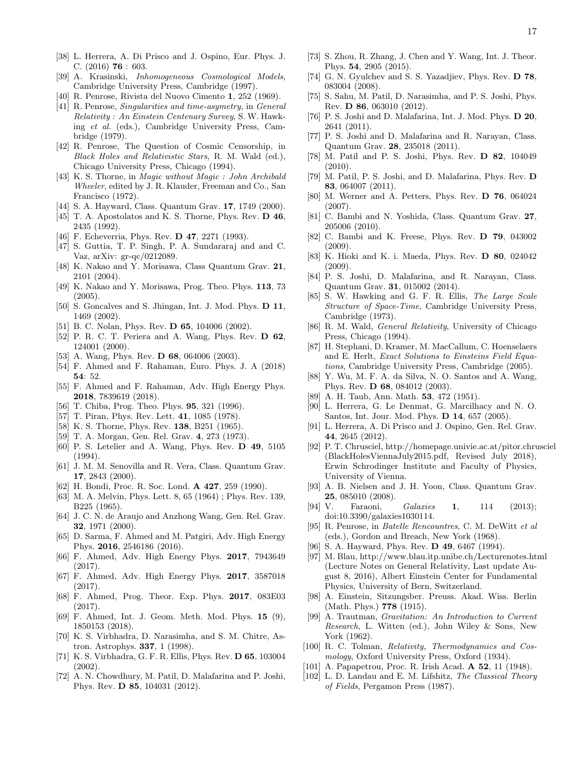- [38] L. Herrera, A. Di Prisco and J. Ospino, Eur. Phys. J. C. (2016) 76 : 603.
- [39] A. Krasinski, *Inhomogeneous Cosmological Models*, Cambridge University Press, Cambridge (1997).
- [40] R. Penrose, Rivista del Nuovo Cimento 1, 252 (1969).
- [41] R. Penrose, *Singularities and time-asymetry*, in *General Relativity : An Einstein Centenary Survey*, S. W. Hawking *et al.* (eds.), Cambridge University Press, Cambridge (1979).
- [42] R. Penrose, The Question of Cosmic Censorship, in *Black Holes and Relativistic Stars*, R. M. Wald (ed.), Chicago University Press, Chicago (1994).
- [43] K. S. Thorne, in *Magic without Magic : John Archibald Wheeler*, edited by J. R. Klauder, Freeman and Co., San Francisco (1972).
- [44] S. A. Hayward, Class. Quantum Grav. 17, 1749 (2000).
- [45] T. A. Apostolatos and K. S. Thorne, Phys. Rev.  $D$  46, 2435 (1992).
- [46] F. Echeverria, Phys. Rev. **D 47**, 2271 (1993).
- [47] S. Guttia, T. P. Singh, P. A. Sundararaj and and C. Vaz, arXiv: gr-qc/0212089.
- [48] K. Nakao and Y. Morisawa, Class Quantum Grav. 21, 2101 (2004).
- [49] K. Nakao and Y. Morisawa, Prog. Theo. Phys. 113, 73 (2005).
- [50] S. Goncalves and S. Jhingan, Int. J. Mod. Phys. **D 11**, 1469 (2002).
- [51] B. C. Nolan, Phys. Rev. **D 65**, 104006 (2002).
- [52] P. R. C. T. Periera and A. Wang, Phys. Rev. D 62, 124001 (2000).
- [53] A. Wang, Phys. Rev. **D 68**, 064006 (2003).
- [54] F. Ahmed and F. Rahaman, Euro. Phys. J. A (2018) 54: 52.
- [55] F. Ahmed and F. Rahaman, Adv. High Energy Phys. 2018, 7839619 (2018).
- [56] T. Chiba, Prog. Theo. Phys. **95**, 321 (1996).
- [57] T. Piran, Phys. Rev. Lett. **41**, 1085 (1978).
- [58] K. S. Thorne, Phys. Rev. **138**, B251 (1965).
- [59] T. A. Morgan, Gen. Rel. Grav. 4, 273 (1973).
- [60] P. S. Letelier and A. Wang, Phys. Rev. D 49, 5105 (1994).
- [61] J. M. M. Senovilla and R. Vera, Class. Quantum Grav. 17, 2843 (2000).
- [62] H. Bondi, Proc. R. Soc. Lond. A 427, 259 (1990).
- [63] M. A. Melvin, Phys. Lett. 8, 65 (1964) ; Phys. Rev. 139, B225 (1965).
- [64] J. C. N. de Araujo and Anzhong Wang, Gen. Rel. Grav. 32, 1971 (2000).
- [65] D. Sarma, F. Ahmed and M. Patgiri, Adv. High Energy Phys. 2016, 2546186 (2016).
- [66] F. Ahmed, Adv. High Energy Phys. 2017, 7943649 (2017).
- [67] F. Ahmed, Adv. High Energy Phys. 2017, 3587018 (2017).
- [68] F. Ahmed, Prog. Theor. Exp. Phys. 2017, 083E03 (2017).
- [69] F. Ahmed, Int. J. Geom. Meth. Mod. Phys. 15 (9), 1850153 (2018).
- [70] K. S. Virbhadra, D. Narasimha, and S. M. Chitre, Astron. Astrophys. 337, 1 (1998).
- [71] K. S. Virbhadra, G. F. R. Ellis, Phys. Rev. D 65, 103004 (2002).
- [72] A. N. Chowdhury, M. Patil, D. Malafarina and P. Joshi, Phys. Rev. D 85, 104031 (2012).
- [73] S. Zhou, R. Zhang, J. Chen and Y. Wang, Int. J. Theor. Phys. 54, 2905 (2015).
- [74] G. N. Gyulchev and S. S. Yazadjiev, Phys. Rev. D 78, 083004 (2008).
- [75] S. Sahu, M. Patil, D. Narasimha, and P. S. Joshi, Phys. Rev. D 86, 063010 (2012).
- [76] P. S. Joshi and D. Malafarina, Int. J. Mod. Phys. **D 20**, 2641 (2011).
- [77] P. S. Joshi and D. Malafarina and R. Narayan, Class. Quantum Grav. 28, 235018 (2011).
- [78] M. Patil and P. S. Joshi, Phys. Rev. D 82, 104049 (2010).
- [79] M. Patil, P. S. Joshi, and D. Malafarina, Phys. Rev. D 83, 064007 (2011).
- [80] M. Werner and A. Petters, Phys. Rev. D 76, 064024 (2007).
- [81] C. Bambi and N. Yoshida, Class. Quantum Grav. 27, 205006 (2010).
- [82] C. Bambi and K. Freese, Phys. Rev. D 79, 043002 (2009).
- [83] K. Hioki and K. i. Maeda, Phys. Rev. D 80, 024042 (2009).
- [84] P. S. Joshi, D. Malafarina, and R. Narayan, Class. Quantum Grav. 31, 015002 (2014).
- [85] S. W. Hawking and G. F. R. Ellis, *The Large Scale Structure of Space-Time*, Cambridge University Press, Cambridge (1973).
- [86] R. M. Wald, *General Relativity*, University of Chicago Press, Chicago (1994).
- [87] H. Stephani, D. Kramer, M. MacCallum, C. Hoenselaers and E. Herlt, *Exact Solutions to Einsteins Field Equations*, Cambridge University Press, Cambridge (2005).
- [88] Y. Wu, M. F. A. da Silva, N. O. Santos and A. Wang, Phys. Rev. D 68, 084012 (2003).
- [89] A. H. Taub, Ann. Math. **53**, 472 (1951).
- [90] L. Herrera, G. Le Denmat, G. Marcilhacy and N. O. Santos, Int. Jour. Mod. Phys. D 14, 657 (2005).
- [91] L. Herrera, A. Di Prisco and J. Ospino, Gen. Rel. Grav. 44, 2645 (2012).
- [92] P. T. Chrusciel, http://homepage.univie.ac.at/pitor.chrusciel (BlackHolesViennaJuly2015.pdf, Revised July 2018), Erwin Schrodinger Institute and Faculty of Physics, University of Vienna.
- [93] A. B. Nielsen and J. H. Yoon, Class. Quantum Grav. 25, 085010 (2008).
- [94] V. Faraoni, *Galaxies* 1, 114 (2013); doi:10.3390/galaxies1030114.
- [95] R. Penrose, in *Batelle Rencountres*, C. M. DeWitt *et al* (eds.), Gordon and Breach, New York (1968).
- [96] S. A. Hayward, Phys. Rev. **D 49**, 6467 (1994).
- [97] M. Blau, http://www.blau.itp.unibe.ch/Lecturenotes.html (Lecture Notes on General Relativity, Last update August 8, 2016), Albert Einstein Center for Fundamental Physics, University of Bern, Switzerland.
- [98] A. Einstein, Sitzungsber. Preuss. Akad. Wiss. Berlin (Math. Phys.) 778 (1915).
- [99] A. Trautman, *Gravitation: An Introduction to Current Research*, L. Witten (ed.), John Wiley & Sons, New York (1962).
- [100] R. C. Tolman, *Relativity, Thermodynamics and Cosmology*, Oxford University Press, Oxford (1934).
- [101] A. Papapetrou, Proc. R. Irish Acad. **A 52**, 11 (1948).
- [102] L. D. Landau and E. M. Lifshitz, *The Classical Theory of Fields*, Pergamon Press (1987).